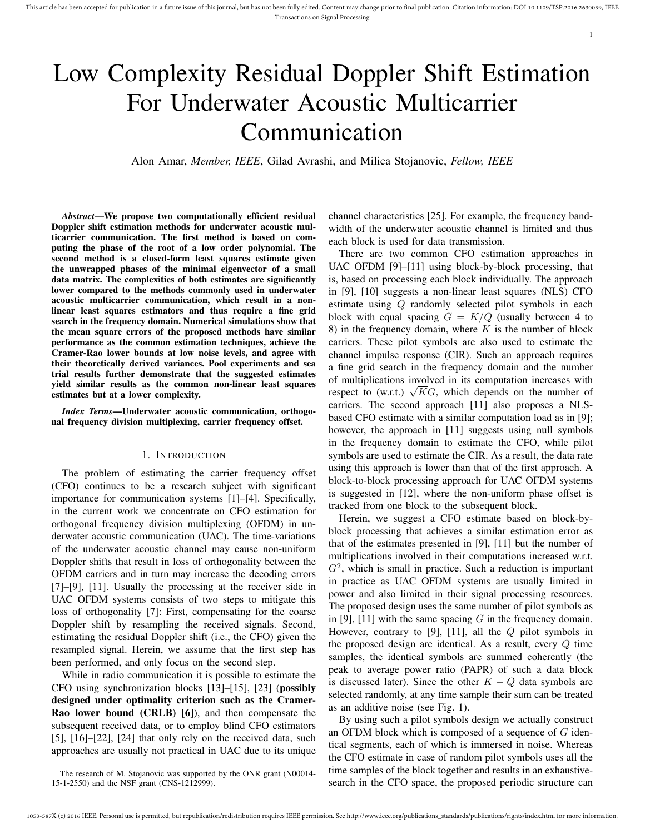# Low Complexity Residual Doppler Shift Estimation For Underwater Acoustic Multicarrier Communication

Alon Amar, *Member, IEEE*, Gilad Avrashi, and Milica Stojanovic, *Fellow, IEEE*

*Abstract*—We propose two computationally efficient residual Doppler shift estimation methods for underwater acoustic multicarrier communication. The first method is based on computing the phase of the root of a low order polynomial. The second method is a closed-form least squares estimate given the unwrapped phases of the minimal eigenvector of a small data matrix. The complexities of both estimates are significantly lower compared to the methods commonly used in underwater acoustic multicarrier communication, which result in a nonlinear least squares estimators and thus require a fine grid search in the frequency domain. Numerical simulations show that the mean square errors of the proposed methods have similar performance as the common estimation techniques, achieve the Cramer-Rao lower bounds at low noise levels, and agree with their theoretically derived variances. Pool experiments and sea trial results further demonstrate that the suggested estimates yield similar results as the common non-linear least squares estimates but at a lower complexity.

*Index Terms*—Underwater acoustic communication, orthogonal frequency division multiplexing, carrier frequency offset.

#### 1. INTRODUCTION

The problem of estimating the carrier frequency offset (CFO) continues to be a research subject with significant importance for communication systems [1]–[4]. Specifically, in the current work we concentrate on CFO estimation for orthogonal frequency division multiplexing (OFDM) in underwater acoustic communication (UAC). The time-variations of the underwater acoustic channel may cause non-uniform Doppler shifts that result in loss of orthogonality between the OFDM carriers and in turn may increase the decoding errors [7]–[9], [11]. Usually the processing at the receiver side in UAC OFDM systems consists of two steps to mitigate this loss of orthogonality [7]: First, compensating for the coarse Doppler shift by resampling the received signals. Second, estimating the residual Doppler shift (i.e., the CFO) given the resampled signal. Herein, we assume that the first step has been performed, and only focus on the second step.

While in radio communication it is possible to estimate the CFO using synchronization blocks [13]–[15], [23] (possibly designed under optimality criterion such as the Cramer-Rao lower bound (CRLB) [6]), and then compensate the subsequent received data, or to employ blind CFO estimators [5], [16]–[22], [24] that only rely on the received data, such approaches are usually not practical in UAC due to its unique channel characteristics [25]. For example, the frequency bandwidth of the underwater acoustic channel is limited and thus each block is used for data transmission.

1

There are two common CFO estimation approaches in UAC OFDM [9]–[11] using block-by-block processing, that is, based on processing each block individually. The approach in [9], [10] suggests a non-linear least squares (NLS) CFO estimate using Q randomly selected pilot symbols in each block with equal spacing  $G = K/Q$  (usually between 4 to 8) in the frequency domain, where  $K$  is the number of block carriers. These pilot symbols are also used to estimate the channel impulse response (CIR). Such an approach requires a fine grid search in the frequency domain and the number of multiplications involved in its computation increases with or multiplications involved in its computation increases with respect to (w.r.t.)  $\sqrt{KG}$ , which depends on the number of carriers. The second approach [11] also proposes a NLSbased CFO estimate with a similar computation load as in [9]; however, the approach in [11] suggests using null symbols in the frequency domain to estimate the CFO, while pilot symbols are used to estimate the CIR. As a result, the data rate using this approach is lower than that of the first approach. A block-to-block processing approach for UAC OFDM systems is suggested in [12], where the non-uniform phase offset is tracked from one block to the subsequent block.

Herein, we suggest a CFO estimate based on block-byblock processing that achieves a similar estimation error as that of the estimates presented in [9], [11] but the number of multiplications involved in their computations increased w.r.t.  $G<sup>2</sup>$ , which is small in practice. Such a reduction is important in practice as UAC OFDM systems are usually limited in power and also limited in their signal processing resources. The proposed design uses the same number of pilot symbols as in [9], [11] with the same spacing  $G$  in the frequency domain. However, contrary to [9], [11], all the  $Q$  pilot symbols in the proposed design are identical. As a result, every Q time samples, the identical symbols are summed coherently (the peak to average power ratio (PAPR) of such a data block is discussed later). Since the other  $K - Q$  data symbols are selected randomly, at any time sample their sum can be treated as an additive noise (see Fig. 1).

By using such a pilot symbols design we actually construct an OFDM block which is composed of a sequence of  $G$  identical segments, each of which is immersed in noise. Whereas the CFO estimate in case of random pilot symbols uses all the time samples of the block together and results in an exhaustivesearch in the CFO space, the proposed periodic structure can

The research of M. Stojanovic was supported by the ONR grant (N00014- 15-1-2550) and the NSF grant (CNS-1212999).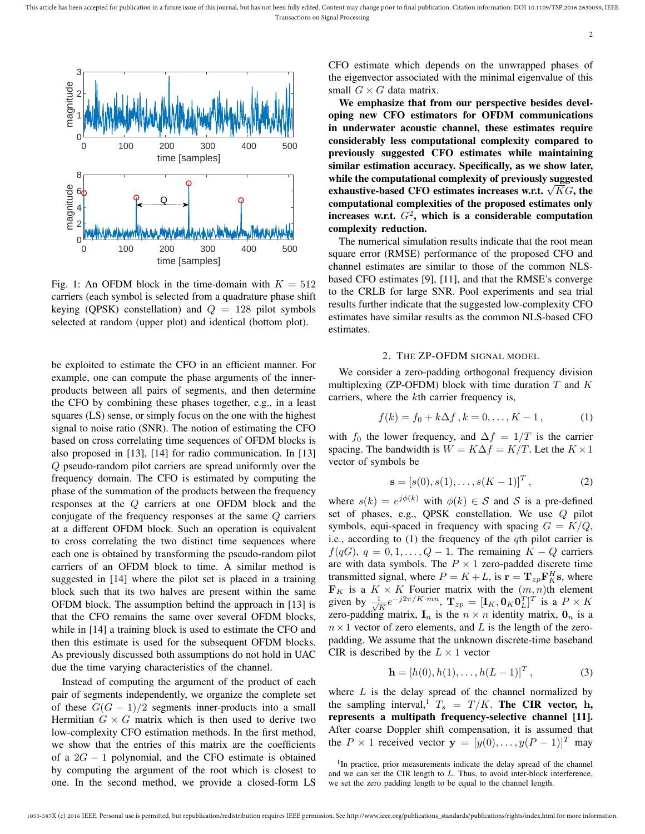

Fig. 1: An OFDM block in the time-domain with  $K = 512$ carriers (each symbol is selected from a quadrature phase shift keying (QPSK) constellation) and  $Q = 128$  pilot symbols selected at random (upper plot) and identical (bottom plot).

be exploited to estimate the CFO in an efficient manner. For example, one can compute the phase arguments of the innerproducts between all pairs of segments, and then determine the CFO by combining these phases together, e.g., in a least squares (LS) sense, or simply focus on the one with the highest signal to noise ratio (SNR). The notion of estimating the CFO based on cross correlating time sequences of OFDM blocks is also proposed in [13], [14] for radio communication. In [13] Q pseudo-random pilot carriers are spread uniformly over the frequency domain. The CFO is estimated by computing the phase of the summation of the products between the frequency responses at the Q carriers at one OFDM block and the conjugate of the frequency responses at the same Q carriers at a different OFDM block. Such an operation is equivalent to cross correlating the two distinct time sequences where each one is obtained by transforming the pseudo-random pilot carriers of an OFDM block to time. A similar method is suggested in [14] where the pilot set is placed in a training block such that its two halves are present within the same OFDM block. The assumption behind the approach in [13] is that the CFO remains the same over several OFDM blocks, while in [14] a training block is used to estimate the CFO and then this estimate is used for the subsequent OFDM blocks. As previously discussed both assumptions do not hold in UAC due the time varying characteristics of the channel.

Instead of computing the argument of the product of each pair of segments independently, we organize the complete set of these  $G(G-1)/2$  segments inner-products into a small Hermitian  $G \times G$  matrix which is then used to derive two low-complexity CFO estimation methods. In the first method, we show that the entries of this matrix are the coefficients of a  $2G - 1$  polynomial, and the CFO estimate is obtained by computing the argument of the root which is closest to one. In the second method, we provide a closed-form LS CFO estimate which depends on the unwrapped phases of the eigenvector associated with the minimal eigenvalue of this small  $G \times G$  data matrix.

We emphasize that from our perspective besides developing new CFO estimators for OFDM communications in underwater acoustic channel, these estimates require considerably less computational complexity compared to previously suggested CFO estimates while maintaining similar estimation accuracy. Specifically, as we show later, while the computational complexity of previously suggested while the computational complexity of previously suggested<br>exhaustive-based CFO estimates increases w.r.t.  $\sqrt{KG}$ , the computational complexities of the proposed estimates only increases w.r.t.  $G^2$ , which is a considerable computation complexity reduction.

The numerical simulation results indicate that the root mean square error (RMSE) performance of the proposed CFO and channel estimates are similar to those of the common NLSbased CFO estimates [9], [11], and that the RMSE's converge to the CRLB for large SNR. Pool experiments and sea trial results further indicate that the suggested low-complexity CFO estimates have similar results as the common NLS-based CFO estimates.

## 2. THE ZP-OFDM SIGNAL MODEL

We consider a zero-padding orthogonal frequency division multiplexing (ZP-OFDM) block with time duration  $T$  and  $K$ carriers, where the kth carrier frequency is,

$$
f(k) = f_0 + k\Delta f, k = 0, ..., K - 1,
$$
 (1)

with  $f_0$  the lower frequency, and  $\Delta f = 1/T$  is the carrier spacing. The bandwidth is  $W = K\Delta f = K/T$ . Let the  $K \times 1$ vector of symbols be

$$
\mathbf{s} = [s(0), s(1), \dots, s(K-1)]^T, \tag{2}
$$

where  $s(k) = e^{j\phi(k)}$  with  $\phi(k) \in S$  and S is a pre-defined set of phases, e.g., QPSK constellation. We use Q pilot symbols, equi-spaced in frequency with spacing  $G = K/Q$ , i.e., according to  $(1)$  the frequency of the qth pilot carrier is  $f(qG), q = 0, 1, \ldots, Q - 1$ . The remaining  $K - Q$  carriers are with data symbols. The  $P \times 1$  zero-padded discrete time transmitted signal, where  $P = K + L$ , is  $\mathbf{r} = \mathbf{T}_{zp} \mathbf{F}_{K}^{H} \mathbf{s}$ , where  $\mathbf{F}_K$  is a  $K \times K$  Fourier matrix with the  $(m, n)$ th element given by  $\frac{1}{\sqrt{2}}$  $\frac{1}{K}e^{-j2\pi/K\cdot mn}, \ \mathbf{T}_{zp} = [\mathbf{I}_K, \mathbf{0}_K\mathbf{0}_L^T]^T$  is a  $P\times K$ zero-padding matrix,  $I_n$  is the  $n \times n$  identity matrix,  $O_n$  is a  $n \times 1$  vector of zero elements, and L is the length of the zeropadding. We assume that the unknown discrete-time baseband CIR is described by the  $L \times 1$  vector

$$
\mathbf{h} = [h(0), h(1), \dots, h(L-1)]^T, \tag{3}
$$

where  $L$  is the delay spread of the channel normalized by the sampling interval,  $T_s = T/K$ . The CIR vector, h, represents a multipath frequency-selective channel [11]. After coarse Doppler shift compensation, it is assumed that the  $P \times 1$  received vector  $\mathbf{y} = [y(0), \dots, y(P-1)]^T$  may

<sup>&</sup>lt;sup>1</sup>In practice, prior measurements indicate the delay spread of the channel and we can set the CIR length to  $L$ . Thus, to avoid inter-block interference, we set the zero padding length to be equal to the channel length.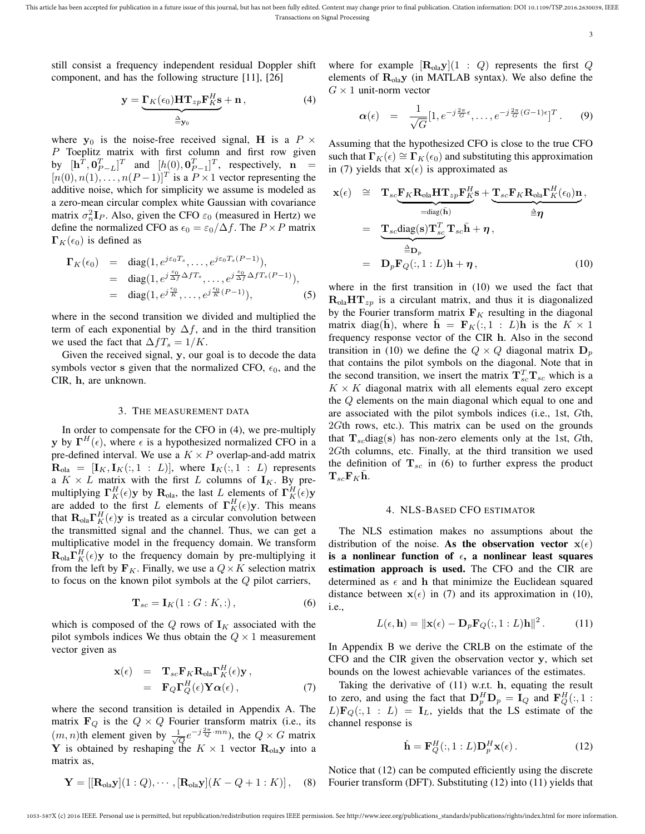still consist a frequency independent residual Doppler shift component, and has the following structure [11], [26]

$$
\mathbf{y} = \underbrace{\Gamma_K(\epsilon_0) \mathbf{H} \mathbf{T}_{zp} \mathbf{F}_K^H \mathbf{s}}_{\triangleq \mathbf{y}_0} + \mathbf{n} \,, \tag{4}
$$

where  $y_0$  is the noise-free received signal, H is a P  $\times$ P Toeplitz matrix with first column and first row given by  $[\mathbf{h}^T, \mathbf{0}_{P-L}^T]^T$  and  $[h(0), \mathbf{0}_{P-1}^T]^T$ , respectively,  $\mathbf{n} =$  $[n(0), n(1), \ldots, n(P-1)]^T$  is a  $P \times 1$  vector representing the additive noise, which for simplicity we assume is modeled as a zero-mean circular complex white Gaussian with covariance matrix  $\sigma_n^2 \mathbf{I}_P$ . Also, given the CFO  $\varepsilon_0$  (measured in Hertz) we define the normalized CFO as  $\epsilon_0 = \epsilon_0/\Delta f$ . The  $P \times P$  matrix  $\Gamma_K(\epsilon_0)$  is defined as

$$
\Gamma_K(\epsilon_0) = \text{diag}(1, e^{j\epsilon_0 T_s}, \dots, e^{j\epsilon_0 T_s(P-1)}),
$$
  
\n
$$
= \text{diag}(1, e^{j\frac{\epsilon_0}{\Delta f} \Delta f T_s}, \dots, e^{j\frac{\epsilon_0}{\Delta f} \Delta f T_s(P-1)}),
$$
  
\n
$$
= \text{diag}(1, e^{j\frac{\epsilon_0}{K}}, \dots, e^{j\frac{\epsilon_0}{K}(P-1)}),
$$
\n(5)

where in the second transition we divided and multiplied the term of each exponential by  $\Delta f$ , and in the third transition we used the fact that  $\Delta f T_s = 1/K$ .

Given the received signal, y, our goal is to decode the data symbols vector s given that the normalized CFO,  $\epsilon_0$ , and the CIR, h, are unknown.

### 3. THE MEASUREMENT DATA

In order to compensate for the CFO in (4), we pre-multiply y by  $\Gamma^{H}(\epsilon)$ , where  $\epsilon$  is a hypothesized normalized CFO in a pre-defined interval. We use a  $K \times P$  overlap-and-add matrix  $\mathbf{R}_{\text{ola}} = [\mathbf{I}_K, \mathbf{I}_K(:,1:L)],$  where  $\mathbf{I}_K(:,1:L)$  represents a  $K \times L$  matrix with the first L columns of  $I_K$ . By premultiplying  $\Gamma_K^H(\epsilon)$ y by  $\mathbf{R}_{\text{ola}}$ , the last L elements of  $\Gamma_K^H(\epsilon)$ y are added to the first L elements of  $\Gamma_K^H(\epsilon)$ y. This means that  $\mathbf{R}_{\text{ola}} \mathbf{\Gamma}_{K}^{H}(\epsilon) \mathbf{y}$  is treated as a circular convolution between the transmitted signal and the channel. Thus, we can get a multiplicative model in the frequency domain. We transform  $\mathbf{R}_{\text{ola}} \mathbf{\Gamma}_{K}^{H}(\epsilon)$ y to the frequency domain by pre-multiplying it from the left by  $\mathbf{F}_K$ . Finally, we use a  $Q \times K$  selection matrix to focus on the known pilot symbols at the  $Q$  pilot carriers,

$$
\mathbf{T}_{sc} = \mathbf{I}_K(1:G:K,:),\tag{6}
$$

which is composed of the Q rows of  $I_K$  associated with the pilot symbols indices We thus obtain the  $Q \times 1$  measurement vector given as

$$
\mathbf{x}(\epsilon) = \mathbf{T}_{sc} \mathbf{F}_{K} \mathbf{R}_{\text{ola}} \mathbf{\Gamma}_{K}^{H}(\epsilon) \mathbf{y}, \n= \mathbf{F}_{Q} \mathbf{\Gamma}_{Q}^{H}(\epsilon) \mathbf{Y} \alpha(\epsilon),
$$
\n(7)

where the second transition is detailed in Appendix A. The matrix  $\mathbf{F}_Q$  is the  $Q \times Q$  Fourier transform matrix (i.e., its  $(m, n)$ th element given by  $\frac{1}{\sqrt{Q}}e^{-j\frac{2\pi}{Q} \cdot mn}$ , the  $Q \times G$  matrix Y is obtained by reshaping the  $K \times 1$  vector  $\mathbf{R}_{\text{olay}}$  into a matrix as,

$$
\mathbf{Y} = [[\mathbf{R}_{\text{ola}}\mathbf{y}](1:Q), \cdots, [\mathbf{R}_{\text{ola}}\mathbf{y}](K - Q + 1:K)], \quad (8)
$$

where for example  $[\mathbf{R}_{\text{ola}}\mathbf{y}](1 : Q)$  represents the first Q elements of  $\mathbf{R}_{\text{ola}}\mathbf{y}$  (in MATLAB syntax). We also define the  $G \times 1$  unit-norm vector

$$
\boldsymbol{\alpha}(\epsilon) = \frac{1}{\sqrt{G}} [1, e^{-j\frac{2\pi}{G}\epsilon}, \dots, e^{-j\frac{2\pi}{G}(G-1)\epsilon}]^T. \qquad (9)
$$

Assuming that the hypothesized CFO is close to the true CFO such that  $\Gamma_K(\epsilon) \cong \Gamma_K(\epsilon_0)$  and substituting this approximation in (7) yields that  $x(\epsilon)$  is approximated as

$$
\mathbf{x}(\epsilon) \cong \mathbf{T}_{sc} \underbrace{\mathbf{F}_{K} \mathbf{R}_{\text{ola}} \mathbf{H} \mathbf{T}_{zp} \mathbf{F}_{K}^{H}}_{=\text{diag}(\bar{\mathbf{h}})} \mathbf{s} + \underbrace{\mathbf{T}_{sc} \mathbf{F}_{K} \mathbf{R}_{\text{ola}} \mathbf{\Gamma}_{K}^{H}(\epsilon_{0}) \mathbf{n}}_{\triangleq \eta},
$$
\n
$$
= \underbrace{\mathbf{T}_{sc} \text{diag}(\mathbf{s}) \mathbf{T}_{sc}^{T}}_{=\mathbf{D}_{p}} \mathbf{T}_{sc} \bar{\mathbf{h}} + \eta,
$$
\n
$$
= \mathbf{D}_{p} \mathbf{F}_{Q}(:,1:L) \mathbf{h} + \eta,
$$
\n(10)

where in the first transition in (10) we used the fact that  $R_{\text{ola}}HT_{zp}$  is a circulant matrix, and thus it is diagonalized by the Fourier transform matrix  $F_K$  resulting in the diagonal matrix diag(h), where  $h = \mathbf{F}_K(:, 1 : L)$ h is the  $K \times 1$ frequency response vector of the CIR h. Also in the second transition in (10) we define the  $Q \times Q$  diagonal matrix  $D_p$ that contains the pilot symbols on the diagonal. Note that in the second transition, we insert the matrix  $\mathbf{T}_{sc}^T \mathbf{T}_{sc}$  which is a  $K \times K$  diagonal matrix with all elements equal zero except the Q elements on the main diagonal which equal to one and are associated with the pilot symbols indices (i.e., 1st, Gth, 2Gth rows, etc.). This matrix can be used on the grounds that  $T_{sc}diag(s)$  has non-zero elements only at the 1st, Gth, 2Gth columns, etc. Finally, at the third transition we used the definition of  $T_{sc}$  in (6) to further express the product  ${\bf T}_{sc}{\bf F}_K\bar{{\bf h}}.$ 

#### 4. NLS-BASED CFO ESTIMATOR

The NLS estimation makes no assumptions about the distribution of the noise. As the observation vector  $x(\epsilon)$ is a nonlinear function of  $\epsilon$ , a nonlinear least squares estimation approach is used. The CFO and the CIR are determined as  $\epsilon$  and h that minimize the Euclidean squared distance between  $x(\epsilon)$  in (7) and its approximation in (10), i.e.,

$$
L(\epsilon, \mathbf{h}) = ||\mathbf{x}(\epsilon) - \mathbf{D}_p \mathbf{F}_Q(:, 1:L)\mathbf{h}||^2.
$$
 (11)

In Appendix B we derive the CRLB on the estimate of the CFO and the CIR given the observation vector y, which set bounds on the lowest achievable variances of the estimates.

Taking the derivative of (11) w.r.t. h, equating the result to zero, and using the fact that  $\mathbf{D}_p^H \mathbf{D}_p = \mathbf{I}_Q$  and  $\mathbf{F}_Q^H(:,1:$  $L\mathbf{F}_{Q}(:,1:L) = \mathbf{I}_{L}$ , yields that the LS estimate of the channel response is

$$
\hat{\mathbf{h}} = \mathbf{F}_Q^H(:, 1:L)\mathbf{D}_p^H \mathbf{x}(\epsilon).
$$
 (12)

Notice that (12) can be computed efficiently using the discrete Fourier transform (DFT). Substituting (12) into (11) yields that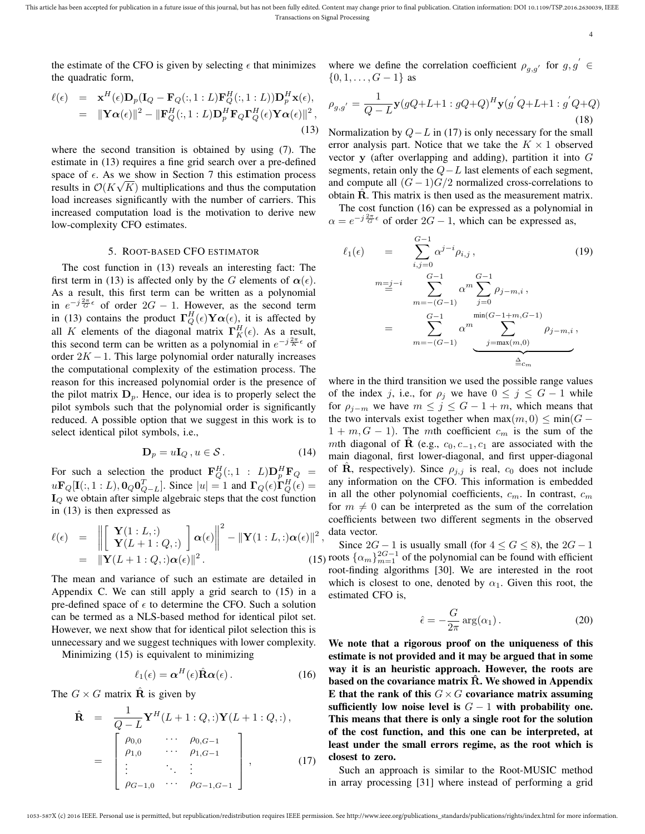This article has been accepted for publication in a future issue of this journal, but has not been fully edited. Content may change prior to final publication. Citation information: DOI 10.1109/TSP.2016.2630039, IEEE Transactions on Signal Processing

4

the estimate of the CFO is given by selecting  $\epsilon$  that minimizes the quadratic form,

where we define the correlation coefficient  $\rho_{g,g'}$  for  $g, g' \in$  $\{0, 1, \ldots, G-1\}$  as

$$
\ell(\epsilon) = \mathbf{x}^{H}(\epsilon)\mathbf{D}_{p}(\mathbf{I}_{Q} - \mathbf{F}_{Q}(:, 1:L)\mathbf{F}_{Q}^{H}(:, 1:L))\mathbf{D}_{p}^{H}\mathbf{x}(\epsilon),
$$
  
\n
$$
= \|\mathbf{Y}\alpha(\epsilon)\|^{2} - \|\mathbf{F}_{Q}^{H}(:, 1:L)\mathbf{D}_{p}^{H}\mathbf{F}_{Q}\mathbf{\Gamma}_{Q}^{H}(\epsilon)\mathbf{Y}\alpha(\epsilon)\|^{2},
$$
\n(13)

where the second transition is obtained by using (7). The estimate in (13) requires a fine grid search over a pre-defined space of  $\epsilon$ . As we show in Section 7 this estimation process results in  $\mathcal{O}(K\sqrt{K})$  multiplications and thus the computation load increases significantly with the number of carriers. This increased computation load is the motivation to derive new low-complexity CFO estimates.

#### 5. ROOT-BASED CFO ESTIMATOR

The cost function in (13) reveals an interesting fact: The first term in (13) is affected only by the G elements of  $\alpha(\epsilon)$ . As a result, this first term can be written as a polynomial in  $e^{-j\frac{2\pi}{G}\epsilon}$  of order  $2G - 1$ . However, as the second term in (13) contains the product  $\Gamma_Q^H(\epsilon)$   $\mathbf{Y}\alpha(\epsilon)$ , it is affected by all K elements of the diagonal matrix  $\Gamma_K^H(\epsilon)$ . As a result, this second term can be written as a polynomial in  $e^{-j\frac{2\pi}{K}\epsilon}$  of order  $2K - 1$ . This large polynomial order naturally increases the computational complexity of the estimation process. The reason for this increased polynomial order is the presence of the pilot matrix  $D_p$ . Hence, our idea is to properly select the pilot symbols such that the polynomial order is significantly reduced. A possible option that we suggest in this work is to select identical pilot symbols, i.e.,

$$
\mathbf{D}_p = u\mathbf{I}_Q, u \in \mathcal{S}.
$$
 (14)

For such a selection the product  $\mathbf{F}_Q^H(:,1:L)\mathbf{D}_p^H\mathbf{F}_Q =$  $u\mathbf{F}_Q[\mathbf{I}(:,1:L),\mathbf{0}_Q\mathbf{0}_{Q-L}^T]$ . Since  $|u|=1$  and  $\mathbf{\Gamma}_Q(\epsilon)\mathbf{\Gamma}_Q^H(\epsilon)=$  $I_Q$  we obtain after simple algebraic steps that the cost function in (13) is then expressed as

$$
\ell(\epsilon) = \left\| \begin{bmatrix} \mathbf{Y}(1:L,:) \\ \mathbf{Y}(L+1:Q,:) \end{bmatrix} \boldsymbol{\alpha}(\epsilon) \right\|^2 - \|\mathbf{Y}(1:L,:)\boldsymbol{\alpha}(\epsilon)\|^2,
$$
  
=\|\mathbf{Y}(L+1:Q,:)\boldsymbol{\alpha}(\epsilon)\|^2. (15)

The mean and variance of such an estimate are detailed in Appendix C. We can still apply a grid search to (15) in a pre-defined space of  $\epsilon$  to determine the CFO. Such a solution can be termed as a NLS-based method for identical pilot set. However, we next show that for identical pilot selection this is unnecessary and we suggest techniques with lower complexity.

Minimizing (15) is equivalent to minimizing

$$
\ell_1(\epsilon) = \alpha^H(\epsilon) \hat{\mathbf{R}} \alpha(\epsilon).
$$
 (16)

The  $G \times G$  matrix **R** is given by

$$
\hat{\mathbf{R}} = \frac{1}{Q - L} \mathbf{Y}^{H} (L + 1 : Q, :) \mathbf{Y} (L + 1 : Q, :),
$$
\n
$$
= \begin{bmatrix}\n\rho_{0,0} & \cdots & \rho_{0,G-1} \\
\rho_{1,0} & \cdots & \rho_{1,G-1} \\
\vdots & \ddots & \vdots \\
\rho_{G-1,0} & \cdots & \rho_{G-1,G-1}\n\end{bmatrix},
$$
\n(17)

$$
\rho_{g,g'} = \frac{1}{Q - L} \mathbf{y} (gQ + L + 1 : gQ + Q)^H \mathbf{y} (g'Q + L + 1 : g'Q + Q)
$$
\n(18)

Normalization by  $Q - L$  in (17) is only necessary for the small error analysis part. Notice that we take the  $K \times 1$  observed vector y (after overlapping and adding), partition it into  $G$ segments, retain only the  $Q-L$  last elements of each segment, and compute all  $(G-1)G/2$  normalized cross-correlations to obtain **. This matrix is then used as the measurement matrix.** 

The cost function (16) can be expressed as a polynomial in  $\alpha = e^{-j\frac{2\pi}{G}\epsilon}$  of order  $2G - 1$ , which can be expressed as,

$$
\ell_1(\epsilon) = \sum_{i,j=0}^{G-1} \alpha^{j-i} \rho_{i,j},
$$
\n
$$
(19)
$$
\n
$$
m = i
$$
\n
$$
\sum_{m=-(G-1)}^{G-1} \alpha^m \sum_{j=0}^{G-1} \rho_{j-m,i},
$$
\n
$$
= \sum_{m=-(G-1)}^{G-1} \alpha^m \sum_{j=\max(m,0)}^{\min(G-1+m,G-1)} \rho_{j-m,i},
$$

where in the third transition we used the possible range values of the index j, i.e., for  $\rho_j$  we have  $0 \le j \le G - 1$  while for  $\rho_{j-m}$  we have  $m \leq j \leq G-1+m$ , which means that the two intervals exist together when  $\max(m, 0) \le \min(G 1 + m, G - 1$ ). The mth coefficient  $c_m$  is the sum of the mth diagonal of R (e.g.,  $c_0, c_{-1}, c_1$  are associated with the main diagonal, first lower-diagonal, and first upper-diagonal of **R**, respectively). Since  $\rho_{j,j}$  is real,  $c_0$  does not include any information on the CFO. This information is embedded in all the other polynomial coefficients,  $c_m$ . In contrast,  $c_m$ for  $m \neq 0$  can be interpreted as the sum of the correlation coefficients between two different segments in the observed data vector.

Since  $2G - 1$  is usually small (for  $4 \le G \le 8$ ), the  $2G - 1$ roots  $\{\alpha_m\}_{m=1}^{2G-1}$  of the polynomial can be found with efficient root-finding algorithms [30]. We are interested in the root which is closest to one, denoted by  $\alpha_1$ . Given this root, the estimated CFO is,

$$
\hat{\epsilon} = -\frac{G}{2\pi} \arg(\alpha_1). \tag{20}
$$

We note that a rigorous proof on the uniqueness of this estimate is not provided and it may be argued that in some way it is an heuristic approach. However, the roots are based on the covariance matrix  $\hat{R}$ . We showed in Appendix E that the rank of this  $G \times G$  covariance matrix assuming sufficiently low noise level is  $G - 1$  with probability one. This means that there is only a single root for the solution of the cost function, and this one can be interpreted, at least under the small errors regime, as the root which is closest to zero.

Such an approach is similar to the Root-MUSIC method in array processing [31] where instead of performing a grid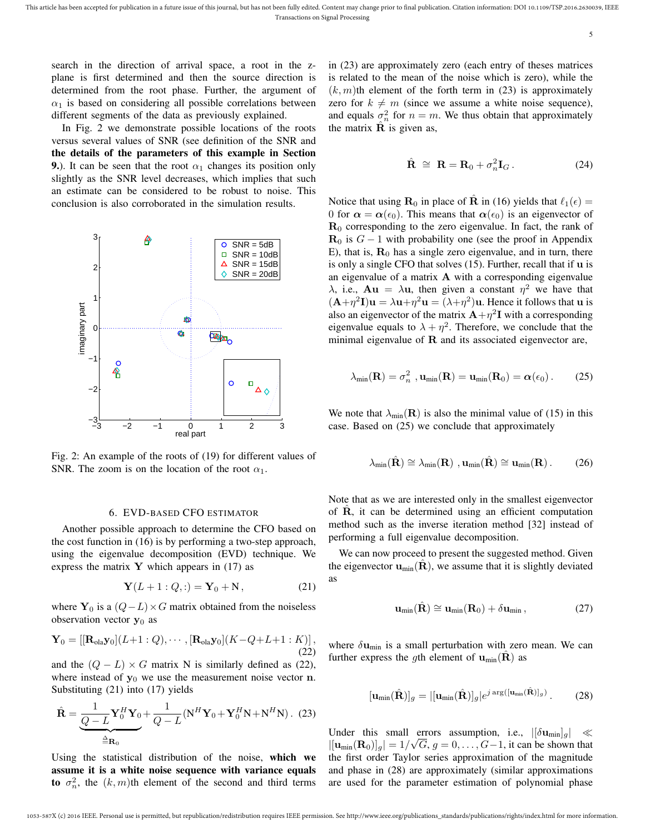search in the direction of arrival space, a root in the zplane is first determined and then the source direction is determined from the root phase. Further, the argument of  $\alpha_1$  is based on considering all possible correlations between different segments of the data as previously explained.

In Fig. 2 we demonstrate possible locations of the roots versus several values of SNR (see definition of the SNR and the details of the parameters of this example in Section 9.). It can be seen that the root  $\alpha_1$  changes its position only slightly as the SNR level decreases, which implies that such an estimate can be considered to be robust to noise. This conclusion is also corroborated in the simulation results.



Fig. 2: An example of the roots of (19) for different values of SNR. The zoom is on the location of the root  $\alpha_1$ .

#### 6. EVD-BASED CFO ESTIMATOR

Another possible approach to determine the CFO based on the cost function in (16) is by performing a two-step approach, using the eigenvalue decomposition (EVD) technique. We express the matrix  $Y$  which appears in (17) as

$$
Y(L + 1:Q,:) = Y_0 + N, \tag{21}
$$

where  $Y_0$  is a  $(Q-L) \times G$  matrix obtained from the noiseless observation vector  $y_0$  as

$$
\mathbf{Y}_0 = [[\mathbf{R}_{\text{ola}}\mathbf{y}_0](L+1:Q), \cdots, [\mathbf{R}_{\text{ola}}\mathbf{y}_0](K-Q+L+1:K)],
$$
\n(22)

and the  $(Q - L) \times G$  matrix N is similarly defined as (22), where instead of  $y_0$  we use the measurement noise vector n. Substituting (21) into (17) yields

$$
\hat{\mathbf{R}} = \underbrace{\frac{1}{Q - L} \mathbf{Y}_0^H \mathbf{Y}_0}_{\triangleq \mathbf{R}_0} + \frac{1}{Q - L} (\mathbf{N}^H \mathbf{Y}_0 + \mathbf{Y}_0^H \mathbf{N} + \mathbf{N}^H \mathbf{N}). \tag{23}
$$

Using the statistical distribution of the noise, which we assume it is a white noise sequence with variance equals to  $\sigma_n^2$ , the  $(k, m)$ th element of the second and third terms

in (23) are approximately zero (each entry of theses matrices is related to the mean of the noise which is zero), while the  $(k, m)$ th element of the forth term in (23) is approximately zero for  $k \neq m$  (since we assume a white noise sequence), and equals  $\sigma_n^2$  for  $n = m$ . We thus obtain that approximately the matrix  $\hat{\mathbf{R}}$  is given as,

$$
\hat{\mathbf{R}} \cong \mathbf{R} = \mathbf{R}_0 + \sigma_n^2 \mathbf{I}_G. \tag{24}
$$

Notice that using  $\mathbf{R}_0$  in place of  $\hat{\mathbf{R}}$  in (16) yields that  $\ell_1(\epsilon) =$ 0 for  $\alpha = \alpha(\epsilon_0)$ . This means that  $\alpha(\epsilon_0)$  is an eigenvector of  $\mathbf{R}_{0}$  corresponding to the zero eigenvalue. In fact, the rank of  $\mathbf{R}_0$  is  $G - 1$  with probability one (see the proof in Appendix E), that is,  $\mathbf{R}_{0}$  has a single zero eigenvalue, and in turn, there is only a single CFO that solves (15). Further, recall that if **u** is an eigenvalue of a matrix A with a corresponding eigenvalue  $\lambda$ , i.e.,  $\mathbf{A} \mathbf{u} = \lambda \mathbf{u}$ , then given a constant  $\eta^2$  we have that  $(A+\eta^2 I)u = \lambda u + \eta^2 u = (\lambda + \eta^2)u$ . Hence it follows that u is also an eigenvector of the matrix  $A + \eta^2 I$  with a corresponding eigenvalue equals to  $\lambda + \eta^2$ . Therefore, we conclude that the minimal eigenvalue of  **and its associated eigenvector are,** 

$$
\lambda_{\min}(\mathbf{R}) = \sigma_n^2 \, , \mathbf{u}_{\min}(\mathbf{R}) = \mathbf{u}_{\min}(\mathbf{R}_0) = \boldsymbol{\alpha}(\epsilon_0) \, . \tag{25}
$$

We note that  $\lambda_{\min}(\mathbf{R})$  is also the minimal value of (15) in this case. Based on (25) we conclude that approximately

$$
\lambda_{\min}(\hat{\mathbf{R}}) \cong \lambda_{\min}(\mathbf{R}) \text{ , } \mathbf{u}_{\min}(\hat{\mathbf{R}}) \cong \mathbf{u}_{\min}(\mathbf{R}) \text{ . } \qquad (26)
$$

Note that as we are interested only in the smallest eigenvector of  $\hat{\mathbf{R}}$ , it can be determined using an efficient computation method such as the inverse iteration method [32] instead of performing a full eigenvalue decomposition.

We can now proceed to present the suggested method. Given the eigenvector  $\mathbf{u}_{\text{min}}(\mathbf{R})$ , we assume that it is slightly deviated as

$$
\mathbf{u}_{\min}(\hat{\mathbf{R}}) \cong \mathbf{u}_{\min}(\mathbf{R}_0) + \delta \mathbf{u}_{\min} ,\qquad (27)
$$

where  $\delta \mathbf{u}_{\text{min}}$  is a small perturbation with zero mean. We can further express the gth element of  $\mathbf{u}_{\text{min}}(\mathbf{R})$  as

$$
[\mathbf{u}_{\min}(\hat{\mathbf{R}})]_g = |[\mathbf{u}_{\min}(\hat{\mathbf{R}})]_g|e^{j \arg([\mathbf{u}_{\min}(\hat{\mathbf{R}})]_g)}.
$$
 (28)

Under this small errors assumption, i.e.,  $|[\delta \mathbf{u}_{min}]_g| \ll$  $|[\mathbf{u}_{\text{min}}(\mathbf{R}_{0})]_g| = 1/\sqrt{G}$ ,  $g = 0, \ldots, G-1$ , it can be shown that the first order Taylor series approximation of the magnitude and phase in (28) are approximately (similar approximations are used for the parameter estimation of polynomial phase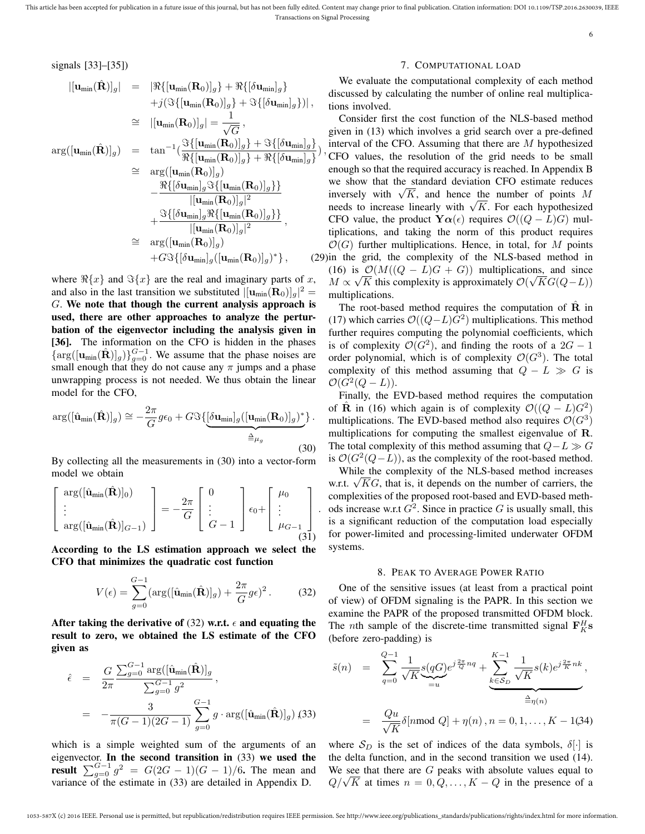multiplications.

signals [33]–[35])

$$
\begin{array}{rcl}\n\left|[\mathbf{u}_{\text{min}}(\hat{\mathbf{R}})]_g\right| & = & \left| \Re\{[\mathbf{u}_{\text{min}}(\mathbf{R}_0)]_g\} + \Re\{[\delta\mathbf{u}_{\text{min}}]_g\} \right| \\
& & + j\left( \Im\{[\mathbf{u}_{\text{min}}(\mathbf{R}_0)]_g\} + \Im\{[\delta\mathbf{u}_{\text{min}}]_g\} \right) \right|, \\
& \cong & \left| [\mathbf{u}_{\text{min}}(\mathbf{R}_0)]_g \right| = \frac{1}{\sqrt{G}}, \\
\arg([\mathbf{u}_{\text{min}}(\hat{\mathbf{R}})]_g) & = & \tan^{-1}\left( \frac{\Im\{[\mathbf{u}_{\text{min}}(\mathbf{R}_0)]_g\} + \Im\{[\delta\mathbf{u}_{\text{min}}]_g\}}{\Re\{[\mathbf{u}_{\text{min}}(\mathbf{R}_0)]_g\}} \right) \\
& \cong & \arg([\mathbf{u}_{\text{min}}(\mathbf{R}_0)]_g) \\
& & - \frac{\Re\{[\delta\mathbf{u}_{\text{min}}]_g \Im\{[\mathbf{u}_{\text{min}}(\mathbf{R}_0)]_g\}\}}{|[\mathbf{u}_{\text{min}}(\mathbf{R}_0)]_g|^2} \\
& & + \frac{\Im\{[\delta\mathbf{u}_{\text{min}}]_g \Re\{[\mathbf{u}_{\text{min}}(\mathbf{R}_0)]_g\}\}}{|[\mathbf{u}_{\text{min}}(\mathbf{R}_0)]_g|^2}, \\
& \cong & \arg([\mathbf{u}_{\text{min}}(\mathbf{R}_0)]_g) \\
& & + G\Im\{[\delta\mathbf{u}_{\text{min}}]_g([\mathbf{u}_{\text{min}}(\mathbf{R}_0)]_g)^*\}, \qquad (2) \\
\end{array}
$$

where  $\Re\{x\}$  and  $\Im\{x\}$  are the real and imaginary parts of x, and also in the last transition we substituted  $|[\mathbf{u}_{\text{min}}(\mathbf{R}_{0})]_{g}|^{2} =$ G. We note that though the current analysis approach is used, there are other approaches to analyze the perturbation of the eigenvector including the analysis given in [36]. The information on the CFO is hidden in the phases  $\{\arg([{\bf u}_{min}(\hat{\bf R})]_g)\}_{g=0}^{G-1}$ . We assume that the phase noises are small enough that they do not cause any  $\pi$  jumps and a phase unwrapping process is not needed. We thus obtain the linear model for the CFO,

$$
\arg([\hat{\mathbf{u}}_{\min}(\hat{\mathbf{R}})]_g) \cong -\frac{2\pi}{G}g\epsilon_0 + G\Im\{\underbrace{[\delta\mathbf{u}_{\min}]_g([\mathbf{u}_{\min}(\mathbf{R}_0)]_g)^*}_{\triangleq \mu_g}\}.
$$
\n(30)

By collecting all the measurements in (30) into a vector-form model we obtain

$$
\begin{bmatrix}\n\arg([\hat{\mathbf{u}}_{\min}(\hat{\mathbf{R}})]_0) \\
\vdots \\
\arg([\hat{\mathbf{u}}_{\min}(\hat{\mathbf{R}})]_{G-1})\n\end{bmatrix} = -\frac{2\pi}{G} \begin{bmatrix} 0 \\
\vdots \\
G-1 \end{bmatrix} \epsilon_0 + \begin{bmatrix} \mu_0 \\
\vdots \\
\mu_{G-1} \end{bmatrix}.
$$
\n(31)

According to the LS estimation approach we select the CFO that minimizes the quadratic cost function

$$
V(\epsilon) = \sum_{g=0}^{G-1} (\arg([\hat{\mathbf{u}}_{\min}(\hat{\mathbf{R}})]_g) + \frac{2\pi}{G}g\epsilon)^2.
$$
 (32)

After taking the derivative of (32) w.r.t.  $\epsilon$  and equating the result to zero, we obtained the LS estimate of the CFO given as

$$
\hat{\epsilon} = \frac{G}{2\pi} \frac{\sum_{g=0}^{G-1} \arg([\hat{\mathbf{u}}_{\min}(\hat{\mathbf{R}})]_g}{\sum_{g=0}^{G-1} g^2},
$$
  
= 
$$
-\frac{3}{\pi (G-1)(2G-1)} \sum_{g=0}^{G-1} g \cdot \arg([\hat{\mathbf{u}}_{\min}(\hat{\mathbf{R}})]_g) (33)
$$

which is a simple weighted sum of the arguments of an eigenvector. In the second transition in (33) we used the result  $\sum_{g=0}^{G-1} g^2 = G(2G-1)(G-1)/6$ . The mean and variance of the estimate in (33) are detailed in Appendix D.

#### 7. COMPUTATIONAL LOAD

6

We evaluate the computational complexity of each method discussed by calculating the number of online real multiplications involved.

), CFO values, the resolution of the grid needs to be small } , (29) in the grid, the complexity of the NLS-based method in Consider first the cost function of the NLS-based method given in (13) which involves a grid search over a pre-defined interval of the CFO. Assuming that there are  $M$  hypothesized enough so that the required accuracy is reached. In Appendix B we show that the standard deviation CFO estimate reduces we show that the standard deviation CFO estimate reduces<br>inversely with  $\sqrt{K}$ , and hence the number of points M niversely with  $\sqrt{K}$ , and hence the number of points *M* needs to increase linearly with  $\sqrt{K}$ . For each hypothesized CFO value, the product  $\mathbf{Y}\alpha(\epsilon)$  requires  $\mathcal{O}((Q-L)G)$  multiplications, and taking the norm of this product requires  $\mathcal{O}(G)$  further multiplications. Hence, in total, for M points (16) is  $\mathcal{Q}(M((Q - L)G + G))$  multiplications, and since  $M \propto \sqrt{K}$  this complexity is approximately  $\mathcal{O}(\sqrt{KG(Q-L)})$ 

> The root-based method requires the computation of  **in** (17) which carries  $\mathcal{O}((Q-L)G^2)$  multiplications. This method further requires computing the polynomial coefficients, which is of complexity  $\mathcal{O}(G^2)$ , and finding the roots of a  $2G - 1$ order polynomial, which is of complexity  $\mathcal{O}(G^3)$ . The total complexity of this method assuming that  $Q - L \gg G$  is  $\mathcal{O}(G^2(Q-L)).$

> Finally, the EVD-based method requires the computation of  $\hat{\mathbf{R}}$  in (16) which again is of complexity  $\mathcal{O}((Q - L)G^2)$ multiplications. The EVD-based method also requires  $\mathcal{O}(G^3)$ multiplications for computing the smallest eigenvalue of R. The total complexity of this method assuming that  $Q-L \gg G$ is  $\mathcal{O}(G^2(Q-L))$ , as the complexity of the root-based method.

> While the complexity of the NLS-based method increases while the complexity of the NLS-based method increases w.r.t.  $\sqrt{KG}$ , that is, it depends on the number of carriers, the complexities of the proposed root-based and EVD-based methods increase w.r.t  $G^2$ . Since in practice G is usually small, this is a significant reduction of the computation load especially for power-limited and processing-limited underwater OFDM systems.

#### 8. PEAK TO AVERAGE POWER RATIO

One of the sensitive issues (at least from a practical point of view) of OFDM signaling is the PAPR. In this section we examine the PAPR of the proposed transmitted OFDM block. The *n*th sample of the discrete-time transmitted signal  $\mathbf{F}^H_K$ s (before zero-padding) is

$$
\tilde{s}(n) = \sum_{q=0}^{Q-1} \frac{1}{\sqrt{K}} \underbrace{s(qG)}_{=u} e^{j\frac{2\pi}{Q}nq} + \underbrace{\sum_{k \in S_D}^{K-1} \frac{1}{\sqrt{K}} s(k) e^{j\frac{2\pi}{K}nk}}_{\triangleq \eta(n)},
$$
  

$$
= \frac{Qu}{\sqrt{K}} \delta[n \mod Q] + \eta(n), n = 0, 1, ..., K - 1,34)
$$

where  $S_D$  is the set of indices of the data symbols,  $\delta[\cdot]$  is the delta function, and in the second transition we used (14). We see that there are  $G$  peaks with absolute values equal to we see that there are G peaks with absolute values equal to  $Q/\sqrt{K}$  at times  $n = 0, Q, ..., K - Q$  in the presence of a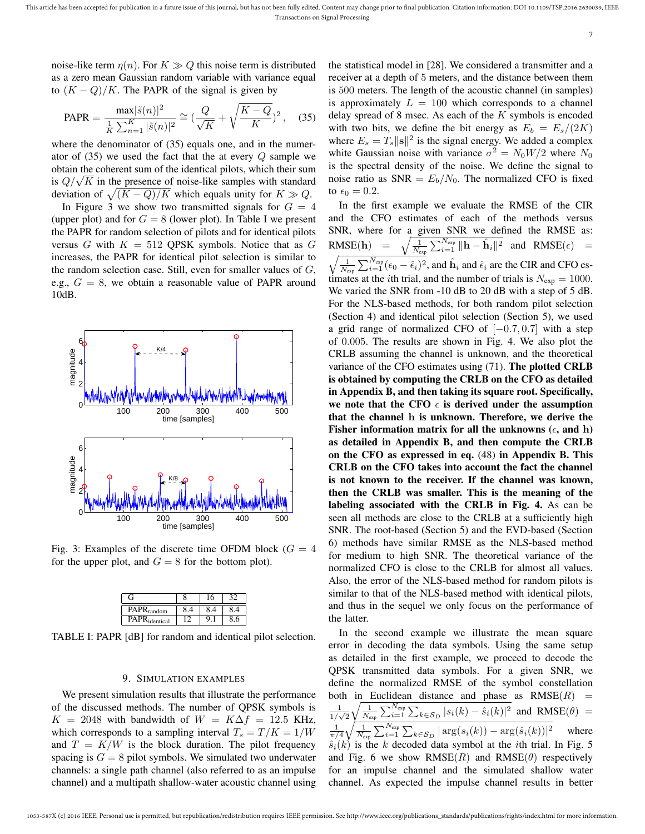noise-like term  $\eta(n)$ . For  $K \gg Q$  this noise term is distributed as a zero mean Gaussian random variable with variance equal to  $(K - Q)/K$ . The PAPR of the signal is given by

$$
\text{PAPR} = \frac{\max|\tilde{s}(n)|^2}{\frac{1}{K}\sum_{n=1}^K|\tilde{s}(n)|^2} \cong \left(\frac{Q}{\sqrt{K}} + \sqrt{\frac{K-Q}{K}}\right)^2, \quad (35)
$$

where the denominator of  $(35)$  equals one, and in the numerator of  $(35)$  we used the fact that the at every  $Q$  sample we obtain the coherent sum of the identical pilots, which their sum obtain the conerent sum of the identical pliots, which their sum<br>is  $Q/\sqrt{K}$  in the presence of noise-like samples with standard deviation of  $\sqrt{(K-Q)/K}$  which equals unity for  $K \gg Q$ .

In Figure 3 we show two transmitted signals for  $G = 4$ (upper plot) and for  $G = 8$  (lower plot). In Table I we present the PAPR for random selection of pilots and for identical pilots versus G with  $K = 512$  QPSK symbols. Notice that as G increases, the PAPR for identical pilot selection is similar to the random selection case. Still, even for smaller values of  $G$ , e.g.,  $G = 8$ , we obtain a reasonable value of PAPR around 10dB.



Fig. 3: Examples of the discrete time OFDM block ( $G = 4$ ) for the upper plot, and  $G = 8$  for the bottom plot).

| •т.                    |  |  |
|------------------------|--|--|
| PAPR <sub>random</sub> |  |  |
| $PR_{identical}$       |  |  |

TABLE I: PAPR [dB] for random and identical pilot selection.

## 9. SIMULATION EXAMPLES

We present simulation results that illustrate the performance of the discussed methods. The number of QPSK symbols is  $K = 2048$  with bandwidth of  $W = K\Delta f = 12.5$  KHz, which corresponds to a sampling interval  $T_s = T/K = 1/W$ and  $T = K/W$  is the block duration. The pilot frequency spacing is  $G = 8$  pilot symbols. We simulated two underwater channels: a single path channel (also referred to as an impulse channel) and a multipath shallow-water acoustic channel using the statistical model in [28]. We considered a transmitter and a receiver at a depth of 5 meters, and the distance between them is 500 meters. The length of the acoustic channel (in samples) is approximately  $L = 100$  which corresponds to a channel delay spread of 8 msec. As each of the  $K$  symbols is encoded with two bits, we define the bit energy as  $E_b = E_s/(2K)$ where  $E_s = T_s ||\mathbf{s}||^2$  is the signal energy. We added a complex white Gaussian noise with variance  $\sigma^2 = N_0 W/2$  where  $N_0$ is the spectral density of the noise. We define the signal to noise ratio as  $SNR = E_b/N_0$ . The normalized CFO is fixed to  $\epsilon_0 = 0.2$ .

In the first example we evaluate the RMSE of the CIR and the CFO estimates of each of the methods versus SNR, where for a given SNR we defined the RMSE as:  $RMSE(h) =$  $\frac{1}{N_{\rm exp}}\sum_{i=1}^{N_{\rm exp}} \|\mathbf{h} - \hat{\mathbf{h}}_i\|^2$  and  $\text{RMSE}(\epsilon)$  =  $\frac{1}{2}$ 1  $\bigvee_{i=1}^{N_{exp}} \bigvee_{i=1}^{N_{exp}} \bigvee_{i=1}^{N_{exp}} \bigvee_{i=1}^{N_{exp}} \bigvee_{i=1}^{N_{exp}} \bigvee_{i=1}^{N_{exp}} \bigvee_{i=1}^{N_{exp}} \bigvee_{i=1}^{N_{exp}} \bigvee_{i=1}^{N_{exp}} \bigvee_{i=1}^{N_{exp}} \bigvee_{i=1}^{N_{exp}} \bigvee_{i=1}^{N_{exp}} \bigvee_{i=1}^{N_{exp}} \bigvee_{i=1}^{N_{exp}} \bigvee_{i=1}^{N_{exp}} \bigvee_{i=1}^{$  $\sum_{i=1}^{N_{\rm exp}} (\epsilon_0 - \hat{\epsilon}_i)^2$ , and  $\hat{\mathbf{h}}_i$  and  $\hat{\epsilon}_i$  are the CIR and CFO es-We varied the SNR from  $-10$  dB to 20 dB with a step of 5 dB. For the NLS-based methods, for both random pilot selection (Section 4) and identical pilot selection (Section 5), we used a grid range of normalized CFO of  $[-0.7, 0.7]$  with a step of 0.005. The results are shown in Fig. 4. We also plot the CRLB assuming the channel is unknown, and the theoretical variance of the CFO estimates using (71). The plotted CRLB is obtained by computing the CRLB on the CFO as detailed in Appendix B, and then taking its square root. Specifically, we note that the CFO  $\epsilon$  is derived under the assumption that the channel h is unknown. Therefore, we derive the Fisher information matrix for all the unknowns ( $\epsilon$ , and h) as detailed in Appendix B, and then compute the CRLB on the CFO as expressed in eq. (48) in Appendix B. This CRLB on the CFO takes into account the fact the channel is not known to the receiver. If the channel was known, then the CRLB was smaller. This is the meaning of the labeling associated with the CRLB in Fig. 4. As can be seen all methods are close to the CRLB at a sufficiently high SNR. The root-based (Section 5) and the EVD-based (Section 6) methods have similar RMSE as the NLS-based method for medium to high SNR. The theoretical variance of the normalized CFO is close to the CRLB for almost all values. Also, the error of the NLS-based method for random pilots is similar to that of the NLS-based method with identical pilots, and thus in the sequel we only focus on the performance of the latter.

In the second example we illustrate the mean square error in decoding the data symbols. Using the same setup as detailed in the first example, we proceed to decode the QPSK transmitted data symbols. For a given SNR, we define the normalized RMSE of the symbol constellation both in Euclidean distance and phase as  $RMSE(R)$  = 1  $\frac{1}{1/\sqrt{2}}$  $\sqrt{\frac{1}{N_{\exp}}\sum_{i=1}^{N_{\exp}}\sum_{k\in\mathcal{S}_D}|s_i(k)-\hat{s}_i(k)|^2}$  and  $\text{RMSE}(\theta)$  =  $\frac{1}{\pi/4}\sqrt{\frac{1}{N_{\exp}}\sum_{i=1}^{N_{\exp}}\sum_{k\in {\cal S}_D}|\arg(s_i(k)) - \arg(\hat{s}_i(k))|^2}$  where  $\hat{s}_i(k)$  is the k decoded data symbol at the *i*th trial. In Fig. 5 and Fig. 6 we show RMSE(R) and RMSE( $\theta$ ) respectively for an impulse channel and the simulated shallow water channel. As expected the impulse channel results in better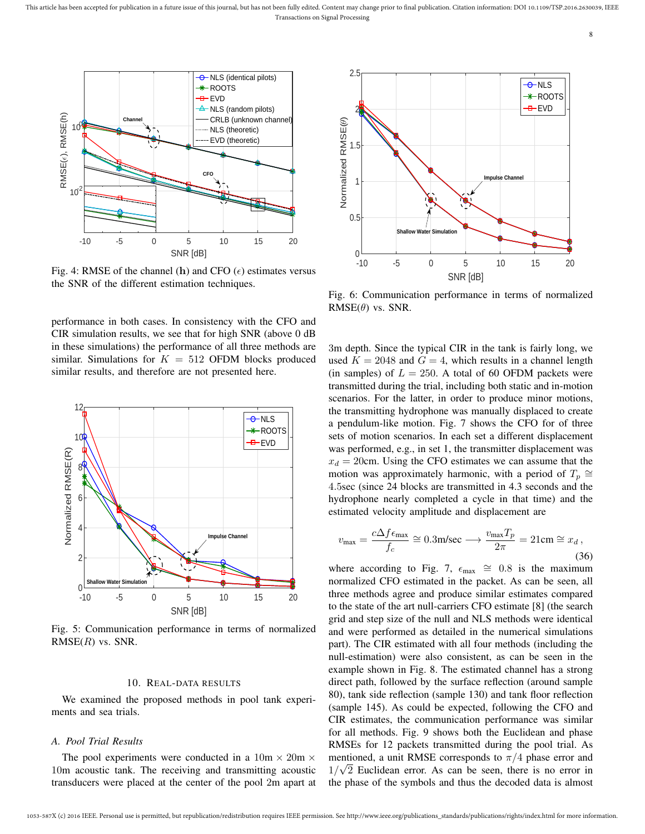

Fig. 4: RMSE of the channel (h) and CFO ( $\epsilon$ ) estimates versus the SNR of the different estimation techniques.

performance in both cases. In consistency with the CFO and CIR simulation results, we see that for high SNR (above 0 dB in these simulations) the performance of all three methods are similar. Simulations for  $K = 512$  OFDM blocks produced similar results, and therefore are not presented here.



Fig. 5: Communication performance in terms of normalized  $RMSE(R)$  vs. SNR.

#### 10. REAL-DATA RESULTS

We examined the proposed methods in pool tank experiments and sea trials.

#### *A. Pool Trial Results*

The pool experiments were conducted in a  $10m \times 20m \times$ 10m acoustic tank. The receiving and transmitting acoustic transducers were placed at the center of the pool 2m apart at



Fig. 6: Communication performance in terms of normalized  $RMSE(\theta)$  vs. SNR.

3m depth. Since the typical CIR in the tank is fairly long, we used  $K = 2048$  and  $G = 4$ , which results in a channel length (in samples) of  $L = 250$ . A total of 60 OFDM packets were transmitted during the trial, including both static and in-motion scenarios. For the latter, in order to produce minor motions, the transmitting hydrophone was manually displaced to create a pendulum-like motion. Fig. 7 shows the CFO for of three sets of motion scenarios. In each set a different displacement was performed, e.g., in set 1, the transmitter displacement was  $x_d = 20$ cm. Using the CFO estimates we can assume that the motion was approximately harmonic, with a period of  $T_p \cong$ 4.5sec (since 24 blocks are transmitted in 4.3 seconds and the hydrophone nearly completed a cycle in that time) and the estimated velocity amplitude and displacement are

$$
v_{\text{max}} = \frac{c\Delta f \epsilon_{\text{max}}}{f_c} \cong 0.3 \text{m/sec} \longrightarrow \frac{v_{\text{max}} T_p}{2\pi} = 21 \text{cm} \cong x_d,
$$
\n(36)

where according to Fig. 7,  $\epsilon_{\text{max}} \approx 0.8$  is the maximum normalized CFO estimated in the packet. As can be seen, all three methods agree and produce similar estimates compared to the state of the art null-carriers CFO estimate [8] (the search grid and step size of the null and NLS methods were identical and were performed as detailed in the numerical simulations part). The CIR estimated with all four methods (including the null-estimation) were also consistent, as can be seen in the example shown in Fig. 8. The estimated channel has a strong direct path, followed by the surface reflection (around sample 80), tank side reflection (sample 130) and tank floor reflection (sample 145). As could be expected, following the CFO and CIR estimates, the communication performance was similar for all methods. Fig. 9 shows both the Euclidean and phase RMSEs for 12 packets transmitted during the pool trial. As mentioned, a unit RMSE corresponds to  $\pi/4$  phase error and  $1/\sqrt{2}$  Euclidean error. As can be seen, there is no error in the phase of the symbols and thus the decoded data is almost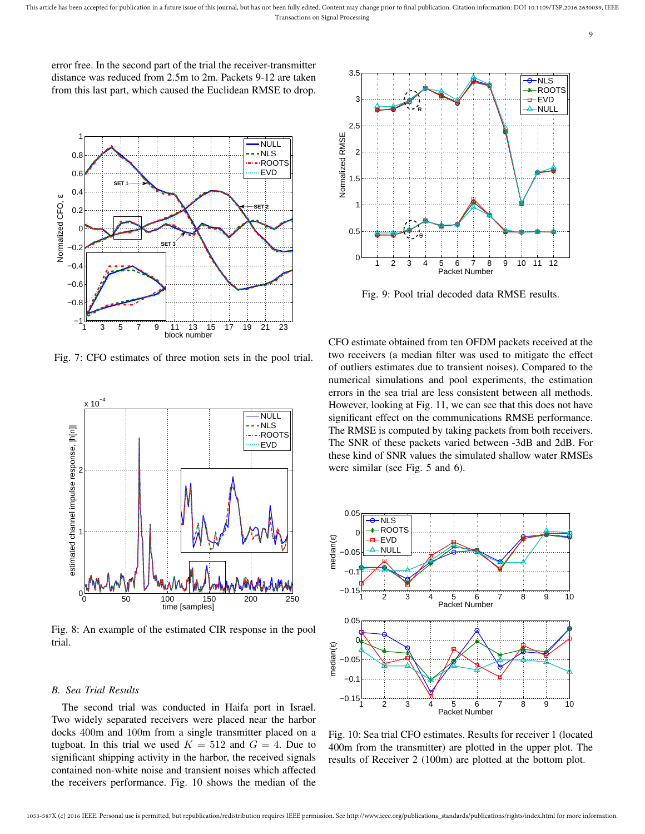error free. In the second part of the trial the receiver-transmitter distance was reduced from 2.5m to 2m. Packets 9-12 are taken from this last part, which caused the Euclidean RMSE to drop.



Fig. 7: CFO estimates of three motion sets in the pool trial.



Fig. 8: An example of the estimated CIR response in the pool trial.

# *B. Sea Trial Results*

The second trial was conducted in Haifa port in Israel. Two widely separated receivers were placed near the harbor docks 400m and 100m from a single transmitter placed on a tugboat. In this trial we used  $K = 512$  and  $G = 4$ . Due to significant shipping activity in the harbor, the received signals contained non-white noise and transient noises which affected



Fig. 9: Pool trial decoded data RMSE results.

CFO estimate obtained from ten OFDM packets received at the two receivers (a median filter was used to mitigate the effect of outliers estimates due to transient noises). Compared to the numerical simulations and pool experiments, the estimation errors in the sea trial are less consistent between all methods. However, looking at Fig. 11, we can see that this does not have significant effect on the communications RMSE performance. The RMSE is computed by taking packets from both receivers. The SNR of these packets varied between -3dB and 2dB. For these kind of SNR values the simulated shallow water RMSEs were similar (see Fig. 5 and 6).



Fig. 10: Sea trial CFO estimates. Results for receiver 1 (located 400m from the transmitter) are plotted in the upper plot. The results of Receiver 2 (100m) are plotted at the bottom plot.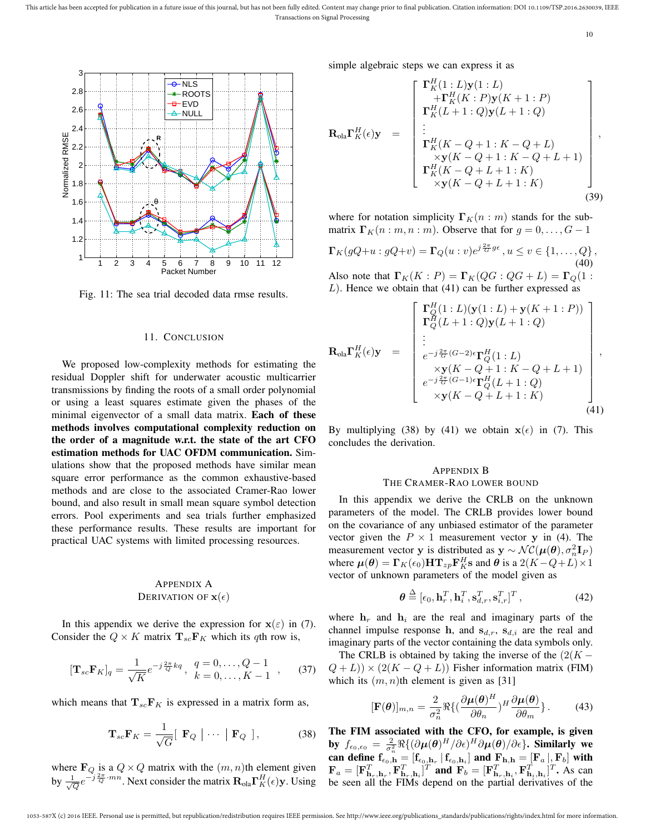

Fig. 11: The sea trial decoded data rmse results.

## 11. CONCLUSION

We proposed low-complexity methods for estimating the residual Doppler shift for underwater acoustic multicarrier transmissions by finding the roots of a small order polynomial or using a least squares estimate given the phases of the minimal eigenvector of a small data matrix. Each of these methods involves computational complexity reduction on the order of a magnitude w.r.t. the state of the art CFO estimation methods for UAC OFDM communication. Simulations show that the proposed methods have similar mean square error performance as the common exhaustive-based methods and are close to the associated Cramer-Rao lower bound, and also result in small mean square symbol detection errors. Pool experiments and sea trials further emphasized these performance results. These results are important for practical UAC systems with limited processing resources.

# APPENDIX A DERIVATION OF  $\mathbf{x}(\epsilon)$

In this appendix we derive the expression for  $x(\epsilon)$  in (7). Consider the  $Q \times K$  matrix  $\mathbf{T}_{sc} \mathbf{F}_K$  which its qth row is,

$$
[\mathbf{T}_{sc}\mathbf{F}_K]_q = \frac{1}{\sqrt{K}}e^{-j\frac{2\pi}{Q}kq}, \ \frac{q=0,\dots,Q-1}{k=0,\dots,K-1}, \qquad (37)
$$

which means that  $T_{sc}F_K$  is expressed in a matrix form as,

$$
\mathbf{T}_{sc}\mathbf{F}_K = \frac{1}{\sqrt{G}} [\begin{array}{c} \mathbf{F}_Q \end{array} | \cdots ] \begin{array}{c} \mathbf{F}_Q \end{array} ], \tag{38}
$$

where  $\mathbf{F}_Q$  is a  $Q \times Q$  matrix with the  $(m, n)$ th element given by  $\frac{1}{\sqrt{Q}}e^{-j\frac{2\pi}{Q}\cdot mn}$ . Next consider the matrix  $\mathbf{R}_{\text{ola}}\mathbf{\Gamma}_{K}^{H}(\epsilon)\mathbf{y}$ . Using simple algebraic steps we can express it as

$$
\mathbf{R}_{\text{ola}}\mathbf{\Gamma}_{K}^{H}(\epsilon)\mathbf{y} = \begin{bmatrix}\n\mathbf{\Gamma}_{K}^{H}(1:L)\mathbf{y}(1:L) \\
+\mathbf{\Gamma}_{K}^{H}(K:P)\mathbf{y}(K+1:P) \\
\mathbf{\Gamma}_{K}^{H}(L+1:Q)\mathbf{y}(L+1:Q) \\
\vdots \\
\mathbf{\Gamma}_{K}^{H}(K-Q+1:K-Q+L) \\
\times\mathbf{y}(K-Q+1:K-Q+L+1) \\
\mathbf{\Gamma}_{K}^{H}(K-Q+L+1:K) \\
\times\mathbf{y}(K-Q+L+1:K)\n\end{bmatrix},
$$
\n(39)

where for notation simplicity  $\Gamma_K(n : m)$  stands for the submatrix  $\Gamma_K(n : m, n : m)$ . Observe that for  $g = 0, \ldots, G - 1$ 

$$
\mathbf{\Gamma}_K(gQ+u:gQ+v) = \mathbf{\Gamma}_Q(u:v)e^{j\frac{2\pi}{G}g\epsilon}, u \le v \in \{1,\ldots,Q\},\tag{40}
$$

Also note that  $\Gamma_K(K : P) = \Gamma_K(QG : QQ + L) = \Gamma_Q(1 :$  $L$ ). Hence we obtain that (41) can be further expressed as

$$
\mathbf{R}_{\text{ola}} \mathbf{\Gamma}_{K}^{H}(\epsilon) \mathbf{y} = \begin{bmatrix} \mathbf{\Gamma}_{Q}^{H}(1:L)(\mathbf{y}(1:L) + \mathbf{y}(K+1:P)) \\ \mathbf{\Gamma}_{Q}^{H}(L+1:Q)\mathbf{y}(L+1:Q) \\ \vdots \\ e^{-j\frac{2\pi}{G}(G-2)\epsilon} \mathbf{\Gamma}_{Q}^{H}(1:L) \\ \times \mathbf{y}(K-Q+1:K-Q+L+1) \\ e^{-j\frac{2\pi}{G}(G-1)\epsilon} \mathbf{\Gamma}_{Q}^{H}(L+1:Q) \\ \times \mathbf{y}(K-Q+L+1:K) \end{bmatrix},
$$
\n(41)

By multiplying (38) by (41) we obtain  $x(\epsilon)$  in (7). This concludes the derivation.

## APPENDIX B THE CRAMER-RAO LOWER BOUND

In this appendix we derive the CRLB on the unknown parameters of the model. The CRLB provides lower bound on the covariance of any unbiased estimator of the parameter vector given the  $P \times 1$  measurement vector y in (4). The measurement vector y is distributed as  $y \sim \mathcal{NC}(\mu(\theta), \sigma_n^2 \mathbf{I}_P)$ where  $\mu(\theta) = \Gamma_K(\epsilon_0) H \mathbf{T}_{zp} \mathbf{F}_K^H \mathbf{s}$  and  $\theta$  is a  $2(K - Q + L) \times 1$ vector of unknown parameters of the model given as

$$
\boldsymbol{\theta} \stackrel{\Delta}{=} [\epsilon_0, \mathbf{h}_r^T, \mathbf{h}_i^T, \mathbf{s}_{d,r}^T, \mathbf{s}_{i,r}^T]^T, \qquad (42)
$$

where  $h_r$  and  $h_i$  are the real and imaginary parts of the channel impulse response h, and  $s_{d,r}$ ,  $s_{d,i}$  are the real and imaginary parts of the vector containing the data symbols only.

The CRLB is obtained by taking the inverse of the  $(2(K –$  $(Q+L)$ ) × (2(K – Q + L)) Fisher information matrix (FIM) which its  $(m, n)$ th element is given as [31]

$$
[\mathbf{F}(\boldsymbol{\theta})]_{m,n} = \frac{2}{\sigma_n^2} \Re \{ (\frac{\partial \boldsymbol{\mu}(\boldsymbol{\theta})^H}{\partial \theta_n})^H \frac{\partial \boldsymbol{\mu}(\boldsymbol{\theta})}{\partial \theta_m} \}.
$$
 (43)

The FIM associated with the CFO, for example, is given by  $f_{\epsilon_0,\epsilon_0}=\frac{2}{\sigma_n^2}\Re\{(\partial \bm{\mu}(\bm{\theta})^H/\partial \epsilon)^H\partial \bm{\mu}(\bm{\theta})/\partial \epsilon\}$ . Similarly we can define  $\mathbf{f}_{\epsilon_0,h}^{\sigma_n} = [\mathbf{f}_{\epsilon_0,h_r} | \mathbf{f}_{\epsilon_0,h_i}]$  and  $\mathbf{F}_{\mathbf{h},\mathbf{h}} = [\mathbf{F}_a |, \mathbf{F}_b]$  with  $\mathbf{F}_a = [\mathbf{F}_{\mathbf{h}_r,\mathbf{h}_r}^T, \mathbf{F}_{\mathbf{h}_r,\mathbf{h}_i}^T]^T$  and  $\mathbf{F}_b = [\mathbf{F}_{\mathbf{h}_r,\mathbf{h}_i}^T, \mathbf{F}_{\mathbf{h}_i,\mathbf{h}_i}^T]^T$ . As can be seen all the FIMs depend on the partial derivatives of the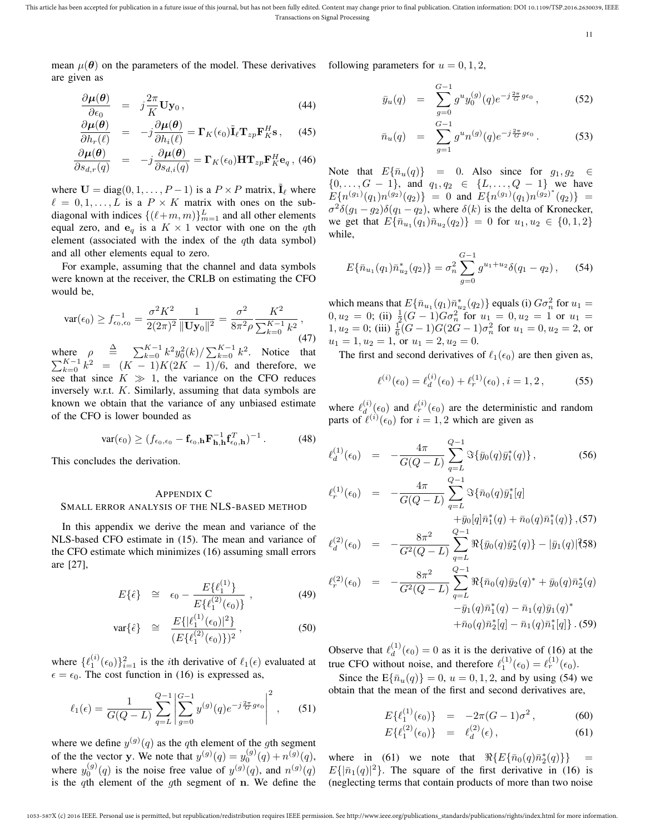This article has been accepted for publication in a future issue of this journal, but has not been fully edited. Content may change prior to final publication. Citation information: DOI 10.1109/TSP.2016.2630039, IEEE Transactions on Signal Processing

11

mean  $\mu(\theta)$  on the parameters of the model. These derivatives following parameters for  $u = 0, 1, 2$ , are given as

$$
\frac{\partial \mu(\theta)}{\partial \epsilon_0} = j\frac{2\pi}{K} \mathbf{U} \mathbf{y}_0, \qquad (44)
$$

$$
\frac{\partial \mu(\boldsymbol{\theta})}{\partial h_r(\ell)} = -j \frac{\partial \mu(\boldsymbol{\theta})}{\partial h_i(\ell)} = \boldsymbol{\Gamma}_K(\epsilon_0) \tilde{\mathbf{I}}_{\ell} \mathbf{T}_{zp} \mathbf{F}_K^H \mathbf{s} , \quad (45)
$$

$$
\frac{\partial \mu(\theta)}{\partial s_{d,r}(q)} = -j \frac{\partial \mu(\theta)}{\partial s_{d,i}(q)} = \Gamma_K(\epsilon_0) \mathbf{HT}_{zp} \mathbf{F}_K^H \mathbf{e}_q, (46)
$$

where  $U = diag(0, 1, \ldots, P - 1)$  is a  $P \times P$  matrix,  $\tilde{I}_{\ell}$  where  $\ell = 0, 1, \ldots, L$  is a  $P \times K$  matrix with ones on the subdiagonal with indices  $\{(\ell+m, m)\}_{m=1}^L$  and all other elements equal zero, and  $e_q$  is a  $K \times 1$  vector with one on the qth element (associated with the index of the qth data symbol) and all other elements equal to zero.

For example, assuming that the channel and data symbols were known at the receiver, the CRLB on estimating the CFO would be,

$$
\text{var}(\epsilon_0) \ge f_{\epsilon_0, \epsilon_0}^{-1} = \frac{\sigma^2 K^2}{2(2\pi)^2} \frac{1}{\|\mathbf{U} \mathbf{y}_0\|^2} = \frac{\sigma^2}{8\pi^2 \rho} \frac{K^2}{\sum_{k=0}^{K-1} k^2},\tag{47}
$$

where  $\rho \triangleq \sum_{k=0}^{K-1} k^2 y_0^2(k) / \sum_{k=0}^{K-1} k^2$ . Notice that  $\sum_{k=0}^{K-1} k^2 = (K-1)K(2K-1)/6$ , and therefore, we see that since  $K \gg 1$ , the variance on the CFO reduces inversely w.r.t. K. Similarly, assuming that data symbols are known we obtain that the variance of any unbiased estimate of the CFO is lower bounded as

$$
\text{var}(\epsilon_0) \ge (f_{\epsilon_0,\epsilon_0} - \mathbf{f}_{\epsilon_0,\mathbf{h}} \mathbf{F}_{\mathbf{h},\mathbf{h}}^{-1} \mathbf{f}_{\epsilon_0,\mathbf{h}}^T)^{-1} \,. \tag{48}
$$

This concludes the derivation.

## APPENDIX C SMALL ERROR ANALYSIS OF THE NLS-BASED METHOD

In this appendix we derive the mean and variance of the NLS-based CFO estimate in (15). The mean and variance of the CFO estimate which minimizes (16) assuming small errors are [27],

$$
E\{\hat{\epsilon}\} \quad \cong \quad \epsilon_0 - \frac{E\{\ell_1^{(1)}\}}{E\{\ell_1^{(2)}(\epsilon_0)\}}, \tag{49}
$$

$$
\text{var}\{\hat{\epsilon}\} \quad \cong \quad \frac{E\{|\ell_1^{(1)}(\epsilon_0)|^2\}}{(E\{\ell_1^{(2)}(\epsilon_0)\})^2},\tag{50}
$$

where  $\{\ell_1^{(i)}(\epsilon_0)\}_{i=1}^2$  is the *i*th derivative of  $\ell_1(\epsilon)$  evaluated at  $\epsilon = \epsilon_0$ . The cost function in (16) is expressed as,

$$
\ell_1(\epsilon) = \frac{1}{G(Q-L)} \sum_{q=L}^{Q-1} \left| \sum_{g=0}^{G-1} y^{(g)}(q) e^{-j\frac{2\pi}{G}g\epsilon_0} \right|^2, \quad (51)
$$

where we define  $y^{(g)}(q)$  as the qth element of the gth segment of the the vector **y**. We note that  $y^{(g)}(q) = y_0^{(g)}(q) + n^{(g)}(q)$ , where  $y_0^{(g)}(q)$  is the noise free value of  $y^{(g)}(q)$ , and  $n^{(g)}(q)$ is the qth element of the gth segment of  $n$ . We define the

$$
\bar{y}_u(q) = \sum_{g=0}^{G-1} g^u y_0^{(g)}(q) e^{-j\frac{2\pi}{G}g\epsilon_0}, \qquad (52)
$$

$$
\bar{n}_u(q) = \sum_{g=1}^{G-1} g^u n^{(g)}(q) e^{-j\frac{2\pi}{G}g\epsilon_0}.
$$
 (53)

Note that  $E{\bar n_u(q)} = 0$ . Also since for  $g_1, g_2 \in$  $\{0, \ldots, G-1\}$ , and  $q_1, q_2 \in \{L, \ldots, Q-1\}$  we have  $E\{n^{(g_1)}(q_1)n^{(g_2)}(q_2)\}\ =\ 0$  and  $E\{n^{(g_1)}(q_1)n^{(g_2)^*}(q_2)\}\ =\ 0$  $\sigma^2 \delta(g_1 - g_2) \delta(q_1 - q_2)$ , where  $\delta(k)$  is the delta of Kronecker, we get that  $E{\{\bar{n}_{u_1}(q_1)\bar{n}_{u_2}(q_2)\}} = 0$  for  $u_1, u_2 \in \{0, 1, 2\}$ while,

$$
E\{\bar{n}_{u_1}(q_1)\bar{n}_{u_2}^*(q_2)\} = \sigma_n^2 \sum_{g=0}^{G-1} g^{u_1+u_2} \delta(q_1-q_2), \quad (54)
$$

which means that  $E\{\bar{n}_{u_1}(q_1)\bar{n}_{u_2}^*(q_2)\}\)$  equals (i)  $G\sigma_n^2$  for  $u_1 =$  $0, u_2 = 0$ ; (ii)  $\frac{1}{2}(G-1)G\sigma_n^2$  for  $u_1 = 0, u_2 = 1$  or  $u_1 =$  $1, u_2 = 0$ ; (iii)  $\frac{1}{6}(G-1)G(2G-1)\sigma_n^2$  for  $u_1 = 0, u_2 = 2$ , or  $u_1 = 1, u_2 = 1$ , or  $u_1 = 2, u_2 = 0$ .

The first and second derivatives of  $\ell_1(\epsilon_0)$  are then given as,

$$
\ell^{(i)}(\epsilon_0) = \ell_d^{(i)}(\epsilon_0) + \ell_r^{(1)}(\epsilon_0), i = 1, 2, \qquad (55)
$$

where  $\ell_d^{(i)}$  $d^{(i)}_{d}(\epsilon_0)$  and  $\ell_r^{(i)}(\epsilon_0)$  are the deterministic and random parts of  $\ell^{(i)}(\epsilon_0)$  for  $i = 1, 2$  which are given as

$$
\ell_d^{(1)}(\epsilon_0) = -\frac{4\pi}{G(Q-L)} \sum_{q=L}^{Q-1} \Im{\{\bar{y}_0(q)\bar{y}_1^*(q)\}},
$$
\n(56)

$$
\begin{array}{rcl}\n\chi^{(1)}(\epsilon_0) & = & -\frac{4\pi}{G(Q-L)} \sum_{q=L}^{Q-1} \Im\{\bar{n}_0(q)\bar{y}_1^*[q] \\
& & +\bar{y}_0[q]\bar{n}_1^*(q) + \bar{n}_0(q)\bar{n}_1^*(q)\},\n\end{array}
$$

$$
\ell_d^{(2)}(\epsilon_0) = -\frac{8\pi^2}{G^2(Q-L)} \sum_{q=L}^{Q-1} \Re{\{\bar{y}_0(q)\bar{y}_2^*(q)\} - |\bar{y}_1(q)|^2\},
$$

$$
\ell_r^{(2)}(\epsilon_0) = -\frac{8\pi^2}{G^2(Q-L)} \sum_{q=L}^{Q-1} \Re{\bar{n}_0(q)\bar{y}_2(q)^* + \bar{y}_0(q)\bar{n}_2^*(q) - \bar{y}_1(q)\bar{n}_1^*(q) - \bar{n}_1(q)\bar{y}_1(q)^* + \bar{n}_0(q)\bar{n}_2^*[q] - \bar{n}_1(q)\bar{n}_1^*[q] \}.
$$
 (59)

Observe that  $\ell_d^{(1)}$  $d_d^{(1)}(\epsilon_0) = 0$  as it is the derivative of (16) at the true CFO without noise, and therefore  $\ell_1^{(1)}(\epsilon_0) = \ell_r^{(1)}(\epsilon_0)$ .

Since the  $E{\bar n_u(q)} = 0$ ,  $u = 0, 1, 2$ , and by using (54) we obtain that the mean of the first and second derivatives are,

$$
E\{\ell_1^{(1)}(\epsilon_0)\} = -2\pi(G-1)\sigma^2, \tag{60}
$$

$$
E\{\ell_1^{(2)}(\epsilon_0)\} = \ell_d^{(2)}(\epsilon), \tag{61}
$$

where in (61) we note that  $\Re{\lbrace E\lbrace \bar{n}_0(q)\bar{n}_2^*(q)\rbrace}$  =  $E\{|\bar{n}_1(q)|^2\}$ . The square of the first derivative in (16) is (neglecting terms that contain products of more than two noise

 $\ell$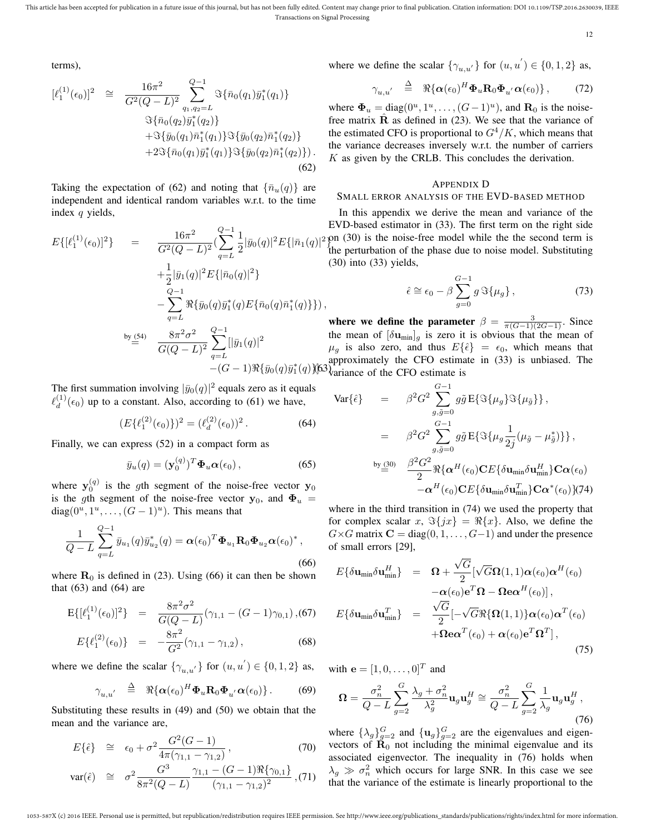This article has been accepted for publication in a future issue of this journal, but has not been fully edited. Content may change prior to final publication. Citation information: DOI 10.1109/TSP.2016.2630039, IEEE Transactions on Signal Processing

12

terms),

$$
[\ell_{1}^{(1)}(\epsilon_{0})]^{2} \cong \frac{16\pi^{2}}{G^{2}(Q-L)^{2}} \sum_{q_{1},q_{2}=L}^{Q-1} \Im{\{\bar{n}_{0}(q_{1})\bar{y}_{1}^{*}(q_{1})\}} \n\Im{\{\bar{n}_{0}(q_{2})\bar{y}_{1}^{*}(q_{2})\}} \n+ \Im{\{\bar{y}_{0}(q_{1})\bar{n}_{1}^{*}(q_{1})\}} \Im{\{\bar{y}_{0}(q_{2})\bar{n}_{1}^{*}(q_{2})\}} \n+ 2\Im{\{\bar{n}_{0}(q_{1})\bar{y}_{1}^{*}(q_{1})\}} \Im{\{\bar{y}_{0}(q_{2})\bar{n}_{1}^{*}(q_{2})\}}.
$$
\n(62)

Taking the expectation of (62) and noting that  $\{\bar{n}_u(q)\}\$  are independent and identical random variables w.r.t. to the time index  $q$  yields,

$$
E\{[\ell_1^{(1)}(\epsilon_0)]^2\} = \frac{16\pi^2}{G^2(Q-L)^2} \left(\sum_{q=L}^{Q-1} \frac{1}{2} |\bar{y}_0(q)|^2 E\{|\bar{n}_1(q)|^2 + \frac{1}{2} |\bar{y}_1(q)|^2 E\{|\bar{n}_0(q)|^2\} - \sum_{q=L}^{Q-1} \Re{\{\bar{y}_0(q)\bar{y}_1^*(q)E\{\bar{n}_0(q)\bar{n}_1^*(q)\}\}}\right),
$$
  

$$
\sum_{q=L}^{by (54)} \frac{8\pi^2 \sigma^2}{G(Q-L)^2} \sum_{q=L}^{Q-1} [|\bar{y}_1(q)|^2 - (G-1)\Re{\{\bar{y}_0(q)\bar{y}_1^*(q)\}}]
$$

The first summation involving  $|\bar{y}_0(q)|^2$  equals zero as it equals  $\ell_d^{(1)}$  $\frac{d^{(1)}}{d}(\epsilon_0)$  up to a constant. Also, according to (61) we have,

$$
(E\{\ell_1^{(2)}(\epsilon_0)\})^2 = (\ell_d^{(2)}(\epsilon_0))^2.
$$
 (64)

Finally, we can express (52) in a compact form as

$$
\bar{y}_u(q) = (\mathbf{y}_0^{(q)})^T \mathbf{\Phi}_u \boldsymbol{\alpha}(\epsilon_0), \qquad (65)
$$

where  $y_0^{(q)}$  is the gth segment of the noise-free vector  $y_0$ is the gth segment of the noise-free vector  $y_0$ , and  $\Phi_u$  = diag( $0^u, 1^u, \ldots, (G-1)^u$ ). This means that

$$
\frac{1}{Q-L} \sum_{q=L}^{Q-1} \bar{y}_{u_1}(q) \bar{y}_{u_2}^*(q) = \boldsymbol{\alpha}(\epsilon_0)^T \boldsymbol{\Phi}_{u_1} \mathbf{R}_0 \boldsymbol{\Phi}_{u_2} \boldsymbol{\alpha}(\epsilon_0)^*,
$$
\n(66)

where  $\mathbf{R}_0$  is defined in (23). Using (66) it can then be shown that  $(63)$  and  $(64)$  are

$$
E\{[\ell_1^{(1)}(\epsilon_0)]^2\} = \frac{8\pi^2\sigma^2}{G(Q-L)}(\gamma_{1,1} - (G-1)\gamma_{0,1}), (67)
$$
  

$$
E\{\ell_1^{(2)}(\epsilon_0)\} = -\frac{8\pi^2}{G^2}(\gamma_{1,1} - \gamma_{1,2}),
$$
 (68)

where we define the scalar  $\{\gamma_{u,u'}\}$  for  $(u, u') \in \{0, 1, 2\}$  as, with  $\mathbf{e} = [1, 0, \dots, 0]^T$  and

$$
\gamma_{u,u'} \triangleq \Re{\{\alpha(\epsilon_0)^H \mathbf{\Phi}_u \mathbf{R}_0 \mathbf{\Phi}_{u'} \alpha(\epsilon_0)\}}. \quad (69)
$$

Substituting these results in (49) and (50) we obtain that the mean and the variance are,

$$
E\{\hat{\epsilon}\} \cong \epsilon_0 + \sigma^2 \frac{G^2(G-1)}{4\pi(\gamma_{1,1} - \gamma_{1,2})}, \qquad (70)
$$

$$
\text{var}(\hat{\epsilon}) \quad \cong \quad \sigma^2 \frac{G^3}{8\pi^2 (Q-L)} \frac{\gamma_{1,1} - (G-1) \Re \{\gamma_{0,1}\}}{(\gamma_{1,1} - \gamma_{1,2})^2}, (71)
$$

where we define the scalar  $\{\gamma_{u,u'}\}$  for  $(u, u') \in \{0, 1, 2\}$  as,

$$
\gamma_{u,u'} \triangleq \Re{\{\boldsymbol{\alpha}(\epsilon_0)^H\boldsymbol{\Phi}_u\mathbf{R}_0\boldsymbol{\Phi}_{u'}\boldsymbol{\alpha}(\epsilon_0)\}},\qquad(72)
$$

where  $\mathbf{\Phi}_u = \text{diag}(0^u, 1^u, \dots, (G-1)^u)$ , and  $\mathbf{R}_0$  is the noisefree matrix  $\hat{\mathbf{R}}$  as defined in (23). We see that the variance of the estimated CFO is proportional to  $G^4/K$ , which means that the variance decreases inversely w.r.t. the number of carriers  $K$  as given by the CRLB. This concludes the derivation.

#### APPENDIX D

#### SMALL ERROR ANALYSIS OF THE EVD-BASED METHOD

} on (30) is the noise-free model while the the second term is In this appendix we derive the mean and variance of the EVD-based estimator in (33). The first term on the right side the perturbation of the phase due to noise model. Substituting (30) into (33) yields,

$$
\hat{\epsilon} \cong \epsilon_0 - \beta \sum_{g=0}^{G-1} g \Im{\{\mu_g\}},\tag{73}
$$

 $(q)$  $(q)$  $(63)$  $(q)$  $(100)$  $(100)$  $(100)$  $(100)$  $(100)$  $(100)$  $(100)$  $(100)$ where we define the parameter  $\beta = \frac{3}{\pi(G-1)(2G-1)}$ . Since the mean of  $[\delta u_{min}]_q$  is zero it is obvious that the mean of  $\mu_g$  is also zero, and thus  $E\{\hat{\epsilon}\} = \epsilon_0$ , which means that approximately the CFO estimate in (33) is unbiased. The

$$
\begin{array}{rcl}\n\text{Var}\{\hat{\epsilon}\} & = & \beta^2 G^2 \sum_{g,\tilde{g}=0}^{G-1} g\tilde{g} \, \mathrm{E}\{\Im\{\mu_g\} \Im\{\mu_{\tilde{g}}\}\}, \\
& = & \beta^2 G^2 \sum_{g,\tilde{g}=0}^{G-1} g\tilde{g} \, \mathrm{E}\{\Im\{\mu_g \frac{1}{2j}(\mu_{\tilde{g}} - \mu_{\tilde{g}}^*)\}\}, \\
& \text{by} \\
\frac{\beta^3 G^2}{2} \Re\{\alpha^H(\epsilon_0) \mathbf{C} E\{\delta \mathbf{u}_{\text{min}} \delta \mathbf{u}_{\text{min}}^H\} \mathbf{C} \alpha(\epsilon_0) \\
& -\alpha^H(\epsilon_0) \mathbf{C} E\{\delta \mathbf{u}_{\text{min}} \delta \mathbf{u}_{\text{min}}^T\} \mathbf{C} \alpha^*(\epsilon_0)\} \tag{74}\n\end{array}
$$

where in the third transition in (74) we used the property that for complex scalar x,  $\Im\{jx\} = \Re\{x\}$ . Also, we define the  $G\times G$  matrix  $C = diag(0, 1, \ldots, G-1)$  and under the presence of small errors [29],

$$
E\{\delta \mathbf{u}_{\min} \delta \mathbf{u}_{\min}^H\} = \mathbf{\Omega} + \frac{\sqrt{G}}{2} [\sqrt{G} \mathbf{\Omega}(1, 1) \alpha(\epsilon_0) \alpha^H(\epsilon_0) - \alpha(\epsilon_0) \mathbf{e}^T \mathbf{\Omega} - \mathbf{\Omega} \mathbf{e} \alpha^H(\epsilon_0)],
$$
  
\n
$$
E\{\delta \mathbf{u}_{\min} \delta \mathbf{u}_{\min}^T\} = \frac{\sqrt{G}}{2} [-\sqrt{G} \Re\{\mathbf{\Omega}(1, 1)\} \alpha(\epsilon_0) \alpha^T(\epsilon_0) + \Omega \mathbf{e} \alpha^T(\epsilon_0) + \alpha(\epsilon_0) \mathbf{e}^T \mathbf{\Omega}^T],
$$
\n(75)

$$
\Omega = \frac{\sigma_n^2}{Q - L} \sum_{g=2}^G \frac{\lambda_g + \sigma_n^2}{\lambda_g^2} \mathbf{u}_g \mathbf{u}_g^H \cong \frac{\sigma_n^2}{Q - L} \sum_{g=2}^G \frac{1}{\lambda_g} \mathbf{u}_g \mathbf{u}_g^H,
$$
\n(76)

where  $\{\lambda_g\}_{g=2}^G$  and  $\{\mathbf{u}_g\}_{g=2}^G$  are the eigenvalues and eigenvectors of  $\mathbf{R}_{0}$  not including the minimal eigenvalue and its associated eigenvector. The inequality in (76) holds when  $\lambda_g \gg \sigma_n^2$  which occurs for large SNR. In this case we see that the variance of the estimate is linearly proportional to the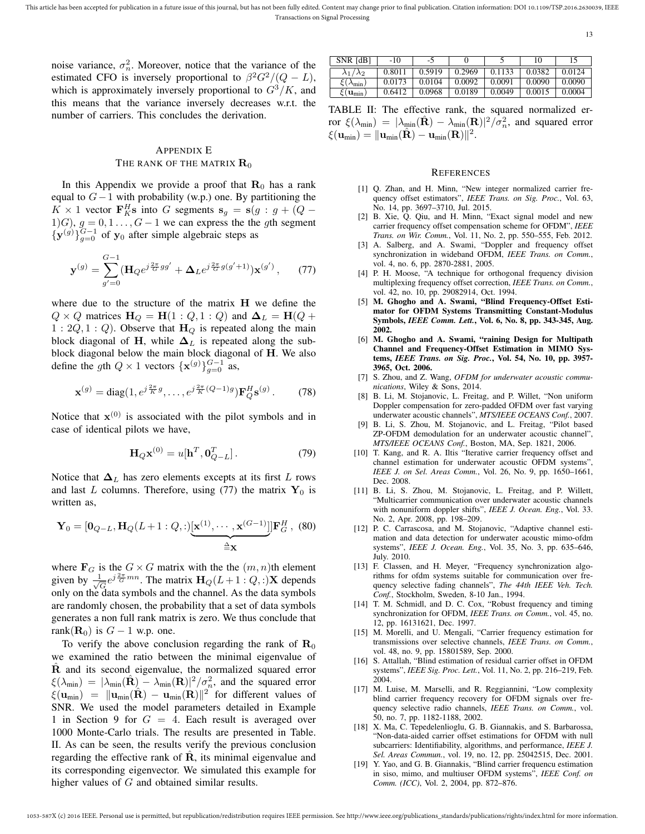noise variance,  $\sigma_n^2$ . Moreover, notice that the variance of the estimated CFO is inversely proportional to  $\beta^2 G^2/(Q-L)$ , which is approximately inversely proportional to  $G^3/K$ , and this means that the variance inversely decreases w.r.t. the number of carriers. This concludes the derivation.

## APPENDIX E THE RANK OF THE MATRIX  $\mathbf{R}_0$

In this Appendix we provide a proof that  $\mathbf{R}_0$  has a rank equal to  $G-1$  with probability (w.p.) one. By partitioning the  $K \times 1$  vector  $\mathbf{F}_{K}^{H}$ s into G segments  $\mathbf{s}_{g} = \mathbf{s}(g : g + (Q -$ 1)G),  $g = 0, 1, \ldots, G - 1$  we can express the the gth segment  $\{y^{(g)}\}_{g=0}^{G-1}$  of  $y_0$  after simple algebraic steps as

$$
\mathbf{y}^{(g)} = \sum_{g'=0}^{G-1} (\mathbf{H}_Q e^{j\frac{2\pi}{G}gg'} + \mathbf{\Delta}_L e^{j\frac{2\pi}{G}g(g'+1)}) \mathbf{x}^{(g')}, \qquad (77)
$$

where due to the structure of the matrix H we define the  $Q \times Q$  matrices  $H_Q = H(1:Q,1:Q)$  and  $\Delta_L = H(Q +$  $1: 2Q, 1: Q$ ). Observe that  $H_Q$  is repeated along the main block diagonal of H, while  $\Delta_L$  is repeated along the subblock diagonal below the main block diagonal of H. We also define the gth  $Q \times 1$  vectors  $\{ {\bf x}^{(g)} \}_{g=0}^{G-1}$  as,

$$
\mathbf{x}^{(g)} = \text{diag}(1, e^{j\frac{2\pi}{K}g}, \dots, e^{j\frac{2\pi}{K}(Q-1)g}) \mathbf{F}_Q^H \mathbf{s}^{(g)}.
$$
 (78)

Notice that  $x^{(0)}$  is associated with the pilot symbols and in case of identical pilots we have,

$$
\mathbf{H}_{Q}\mathbf{x}^{(0)} = u[\mathbf{h}^T, \mathbf{0}_{Q-L}^T].
$$
 (79)

Notice that  $\Delta_L$  has zero elements excepts at its first L rows and last L columns. Therefore, using (77) the matrix  $Y_0$  is written as,

$$
\mathbf{Y}_0 = [\mathbf{0}_{Q-L}, \mathbf{H}_Q(L+1:Q,:)[\mathbf{x}^{(1)}, \cdots, \mathbf{x}^{(G-1)}]] \mathbf{F}_G^H, (80)
$$

where  $\mathbf{F}_G$  is the  $G \times G$  matrix with the the  $(m, n)$ th element given by  $\frac{1}{\sqrt{2}}$  $\frac{1}{G}e^{j\frac{2\pi}{G}mn}$ . The matrix  $\mathbf{H}_Q(L+1:Q,:)$ **X** depends only on the data symbols and the channel. As the data symbols are randomly chosen, the probability that a set of data symbols generates a non full rank matrix is zero. We thus conclude that rank( $\mathbf{R}_0$ ) is  $G - 1$  w.p. one.

To verify the above conclusion regarding the rank of  $\mathbf{R}_{0}$ we examined the ratio between the minimal eigenvalue of R and its second eigenvalue, the normalized squared error  $\xi(\lambda_{\min}) = |\lambda_{\min}(\hat{\mathbf{R}}) - \lambda_{\min}(\mathbf{R})|^2 / \sigma_n^2$ , and the squared error  $\xi(\mathbf{u}_{\text{min}}) = \|\mathbf{u}_{\text{min}}(\hat{\mathbf{R}}) - \mathbf{u}_{\text{min}}(\mathbf{R})\|^2$  for different values of SNR. We used the model parameters detailed in Example 1 in Section 9 for  $G = 4$ . Each result is averaged over 1000 Monte-Carlo trials. The results are presented in Table. II. As can be seen, the results verify the previous conclusion regarding the effective rank of  $R$ , its minimal eigenvalue and its corresponding eigenvector. We simulated this example for higher values of G and obtained similar results.

| SNR [dB]                       | $-10$  | -5     |        |        | 10     |        |
|--------------------------------|--------|--------|--------|--------|--------|--------|
| $\lambda_1/\lambda_2$          | 0.8011 | 0.5919 | 0.2969 | 0.1133 | 0.0382 | 0.0124 |
| $\xi(\lambda_{\rm min})$       | 0.0173 | 0.0104 | 0.0092 | 0.0091 | 0.0090 | 0.0090 |
| $\xi(\mathbf{u}_{\text{min}})$ | 0.6412 | 0.0968 | 0.0189 | 0.0049 | 0.0015 | 0.0004 |

TABLE II: The effective rank, the squared normalized error  $\xi(\lambda_{\min}) = |\lambda_{\min}(\hat{\mathbf{R}}) - \lambda_{\min}(\mathbf{R})|^2 / \sigma_n^2$ , and squared error  $\xi(\mathbf{u}_{\text{min}}) = \|\mathbf{u}_{\text{min}}(\hat{\mathbf{R}}) - \mathbf{u}_{\text{min}}(\mathbf{R})\|^2.$ 

## **REFERENCES**

- [1] Q. Zhan, and H. Minn, "New integer normalized carrier frequency offset estimators", *IEEE Trans. on Sig. Proc.*, Vol. 63, No. 14, pp. 3697–3710, Jul. 2015.
- [2] B. Xie, Q. Qiu, and H. Minn, "Exact signal model and new carrier frequency offset compensation scheme for OFDM", *IEEE Trans. on Wir. Comm.*, Vol. 11, No. 2, pp. 550–555, Feb. 2012.
- [3] A. Salberg, and A. Swami, "Doppler and frequency offset synchronization in wideband OFDM, *IEEE Trans. on Comm.*, vol. 4, no. 6, pp. 2870-2881, 2005.
- [4] P. H. Moose, "A technique for orthogonal frequency division multiplexing frequency offset correction, *IEEE Trans. on Comm.*, vol. 42, no. 10, pp. 29082914, Oct. 1994.
- [5] M. Ghogho and A. Swami, "Blind Frequency-Offset Estimator for OFDM Systems Transmitting Constant-Modulus Symbols, *IEEE Comm. Lett.*, Vol. 6, No. 8, pp. 343-345, Aug. 2002.
- [6] M. Ghogho and A. Swami, "raining Design for Multipath Channel and Frequency-Offset Estimation in MIMO Systems, *IEEE Trans. on Sig. Proc.*, Vol. 54, No. 10, pp. 3957- 3965, Oct. 2006.
- [7] S. Zhou, and Z. Wang, *OFDM for underwater acoustic communications*, Wiley & Sons, 2014.
- [8] B. Li, M. Stojanovic, L. Freitag, and P. Willet, "Non uniform Doppler compensation for zero-padded OFDM over fast varying underwater acoustic channels", *MTS/IEEE OCEANS Conf.*, 2007.
- [9] B. Li, S. Zhou, M. Stojanovic, and L. Freitag, "Pilot based ZP-OFDM demodulation for an underwater acoustic channel", *MTS/IEEE OCEANS Conf.*, Boston, MA, Sep. 1821, 2006.
- [10] T. Kang, and R. A. Iltis "Iterative carrier frequency offset and channel estimation for underwater acoustic OFDM systems", *IEEE J. on Sel. Areas Comm.*, Vol. 26, No. 9, pp. 1650–1661, Dec. 2008.
- [11] B. Li, S. Zhou, M. Stojanovic, L. Freitag, and P. Willett, "Multicarrier communication over underwater acoustic channels with nonuniform doppler shifts", *IEEE J. Ocean. Eng.*, Vol. 33. No. 2, Apr. 2008, pp. 198–209.
- [12] P. C. Carrascosa, and M. Stojanovic, "Adaptive channel estimation and data detection for underwater acoustic mimo-ofdm systems", *IEEE J. Ocean. Eng.*, Vol. 35, No. 3, pp. 635–646, July. 2010.
- [13] F. Classen, and H. Meyer, "Frequency synchronization algorithms for ofdm systems suitable for communication over frequency selective fading channels", *The 44th IEEE Veh. Tech. Conf.*, Stockholm, Sweden, 8-10 Jan., 1994.
- [14] T. M. Schmidl, and D. C. Cox, "Robust frequency and timing synchronization for OFDM, *IEEE Trans. on Comm.*, vol. 45, no. 12, pp. 16131621, Dec. 1997.
- [15] M. Morelli, and U. Mengali, "Carrier frequency estimation for transmissions over selective channels, *IEEE Trans. on Comm.*, vol. 48, no. 9, pp. 15801589, Sep. 2000.
- [16] S. Attallah, "Blind estimation of residual carrier offset in OFDM systems", *IEEE Sig. Proc. Lett.*, Vol. 11, No. 2, pp. 216–219, Feb. 2004.
- [17] M. Luise, M. Marselli, and R. Reggiannini, "Low complexity blind carrier frequency recovery for OFDM signals over frequency selective radio channels, *IEEE Trans. on Comm.*, vol. 50, no. 7, pp. 1182-1188, 2002.
- [18] X. Ma, C. Tepedelenlioglu, G. B. Giannakis, and S. Barbarossa, "Non-data-aided carrier offset estimations for OFDM with null subcarriers: Identifiability, algorithms, and performance, *IEEE J. Sel. Areas Commun.*, vol. 19, no. 12, pp. 25042515, Dec. 2001.
- [19] Y. Yao, and G. B. Giannakis, "Blind carrier frequencu estimation in siso, mimo, and multiuser OFDM systems", *IEEE Conf. on Comm. (ICC)*, Vol. 2, 2004, pp. 872–876.